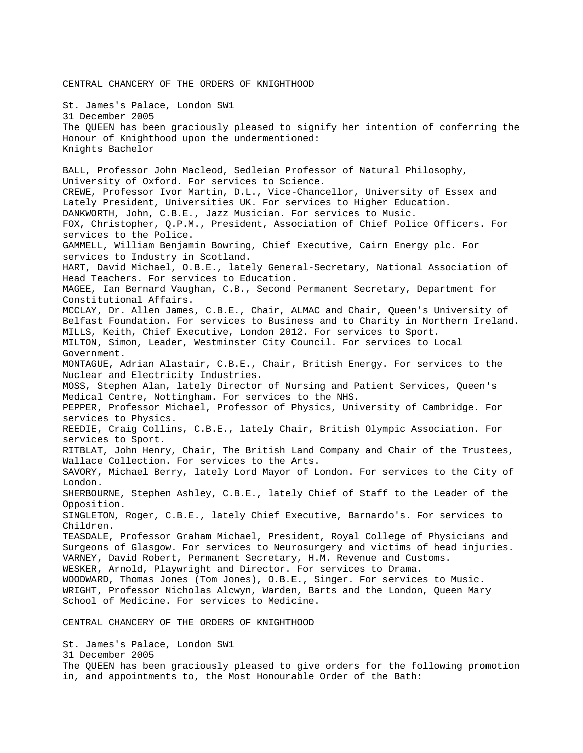CENTRAL CHANCERY OF THE ORDERS OF KNIGHTHOOD St. James's Palace, London SW1 31 December 2005 The QUEEN has been graciously pleased to signify her intention of conferring the Honour of Knighthood upon the undermentioned: Knights Bachelor BALL, Professor John Macleod, Sedleian Professor of Natural Philosophy, University of Oxford. For services to Science. CREWE, Professor Ivor Martin, D.L., Vice-Chancellor, University of Essex and Lately President, Universities UK. For services to Higher Education. DANKWORTH, John, C.B.E., Jazz Musician. For services to Music. FOX, Christopher, Q.P.M., President, Association of Chief Police Officers. For services to the Police. GAMMELL, William Benjamin Bowring, Chief Executive, Cairn Energy plc. For services to Industry in Scotland. HART, David Michael, O.B.E., lately General-Secretary, National Association of Head Teachers. For services to Education. MAGEE, Ian Bernard Vaughan, C.B., Second Permanent Secretary, Department for Constitutional Affairs. MCCLAY, Dr. Allen James, C.B.E., Chair, ALMAC and Chair, Queen's University of Belfast Foundation. For services to Business and to Charity in Northern Ireland. MILLS, Keith, Chief Executive, London 2012. For services to Sport. MILTON, Simon, Leader, Westminster City Council. For services to Local Government. MONTAGUE, Adrian Alastair, C.B.E., Chair, British Energy. For services to the Nuclear and Electricity Industries. MOSS, Stephen Alan, lately Director of Nursing and Patient Services, Queen's Medical Centre, Nottingham. For services to the NHS. PEPPER, Professor Michael, Professor of Physics, University of Cambridge. For services to Physics. REEDIE, Craig Collins, C.B.E., lately Chair, British Olympic Association. For services to Sport. RITBLAT, John Henry, Chair, The British Land Company and Chair of the Trustees, Wallace Collection. For services to the Arts. SAVORY, Michael Berry, lately Lord Mayor of London. For services to the City of London. SHERBOURNE, Stephen Ashley, C.B.E., lately Chief of Staff to the Leader of the Opposition. SINGLETON, Roger, C.B.E., lately Chief Executive, Barnardo's. For services to Children. TEASDALE, Professor Graham Michael, President, Royal College of Physicians and Surgeons of Glasgow. For services to Neurosurgery and victims of head injuries. VARNEY, David Robert, Permanent Secretary, H.M. Revenue and Customs. WESKER, Arnold, Playwright and Director. For services to Drama. WOODWARD, Thomas Jones (Tom Jones), O.B.E., Singer. For services to Music. WRIGHT, Professor Nicholas Alcwyn, Warden, Barts and the London, Queen Mary School of Medicine. For services to Medicine. CENTRAL CHANCERY OF THE ORDERS OF KNIGHTHOOD

St. James's Palace, London SW1 31 December 2005 The QUEEN has been graciously pleased to give orders for the following promotion in, and appointments to, the Most Honourable Order of the Bath: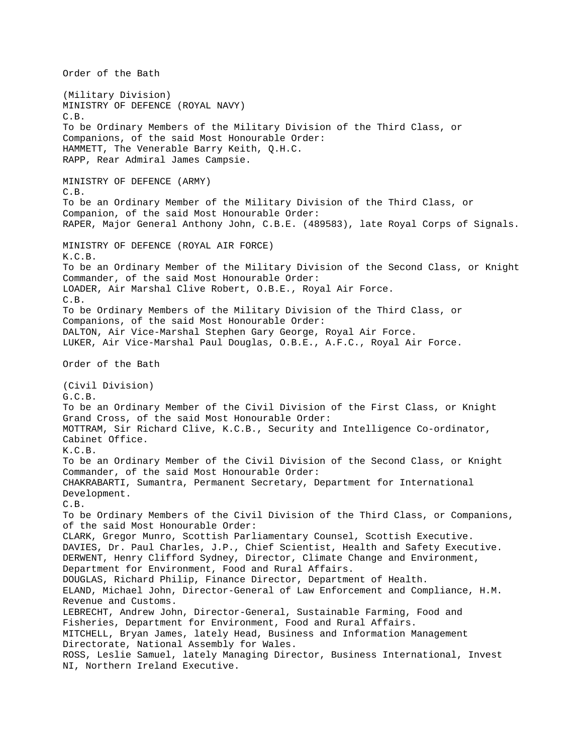Order of the Bath (Military Division) MINISTRY OF DEFENCE (ROYAL NAVY) C.B. To be Ordinary Members of the Military Division of the Third Class, or Companions, of the said Most Honourable Order: HAMMETT, The Venerable Barry Keith, Q.H.C. RAPP, Rear Admiral James Campsie. MINISTRY OF DEFENCE (ARMY) C.B. To be an Ordinary Member of the Military Division of the Third Class, or Companion, of the said Most Honourable Order: RAPER, Major General Anthony John, C.B.E. (489583), late Royal Corps of Signals. MINISTRY OF DEFENCE (ROYAL AIR FORCE) K.C.B. To be an Ordinary Member of the Military Division of the Second Class, or Knight Commander, of the said Most Honourable Order: LOADER, Air Marshal Clive Robert, O.B.E., Royal Air Force. C.B. To be Ordinary Members of the Military Division of the Third Class, or Companions, of the said Most Honourable Order: DALTON, Air Vice-Marshal Stephen Gary George, Royal Air Force. LUKER, Air Vice-Marshal Paul Douglas, O.B.E., A.F.C., Royal Air Force. Order of the Bath (Civil Division) G.C.B. To be an Ordinary Member of the Civil Division of the First Class, or Knight Grand Cross, of the said Most Honourable Order: MOTTRAM, Sir Richard Clive, K.C.B., Security and Intelligence Co-ordinator, Cabinet Office. K.C.B. To be an Ordinary Member of the Civil Division of the Second Class, or Knight Commander, of the said Most Honourable Order: CHAKRABARTI, Sumantra, Permanent Secretary, Department for International Development. C.B. To be Ordinary Members of the Civil Division of the Third Class, or Companions, of the said Most Honourable Order: CLARK, Gregor Munro, Scottish Parliamentary Counsel, Scottish Executive. DAVIES, Dr. Paul Charles, J.P., Chief Scientist, Health and Safety Executive. DERWENT, Henry Clifford Sydney, Director, Climate Change and Environment, Department for Environment, Food and Rural Affairs. DOUGLAS, Richard Philip, Finance Director, Department of Health. ELAND, Michael John, Director-General of Law Enforcement and Compliance, H.M. Revenue and Customs. LEBRECHT, Andrew John, Director-General, Sustainable Farming, Food and Fisheries, Department for Environment, Food and Rural Affairs. MITCHELL, Bryan James, lately Head, Business and Information Management Directorate, National Assembly for Wales. ROSS, Leslie Samuel, lately Managing Director, Business International, Invest NI, Northern Ireland Executive.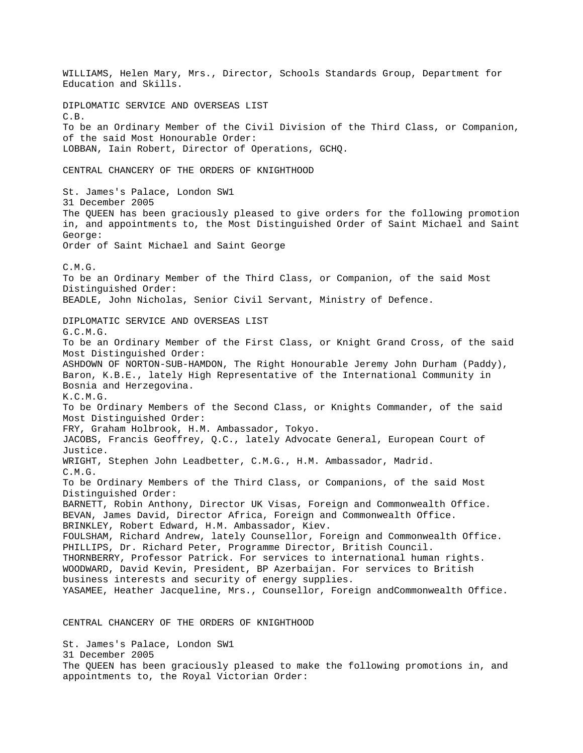WILLIAMS, Helen Mary, Mrs., Director, Schools Standards Group, Department for Education and Skills. DIPLOMATIC SERVICE AND OVERSEAS LIST  $C. B.$ To be an Ordinary Member of the Civil Division of the Third Class, or Companion, of the said Most Honourable Order: LOBBAN, Iain Robert, Director of Operations, GCHQ. CENTRAL CHANCERY OF THE ORDERS OF KNIGHTHOOD St. James's Palace, London SW1 31 December 2005 The QUEEN has been graciously pleased to give orders for the following promotion in, and appointments to, the Most Distinguished Order of Saint Michael and Saint George: Order of Saint Michael and Saint George C.M.G. To be an Ordinary Member of the Third Class, or Companion, of the said Most Distinguished Order: BEADLE, John Nicholas, Senior Civil Servant, Ministry of Defence. DIPLOMATIC SERVICE AND OVERSEAS LIST G.C.M.G. To be an Ordinary Member of the First Class, or Knight Grand Cross, of the said Most Distinguished Order: ASHDOWN OF NORTON-SUB-HAMDON, The Right Honourable Jeremy John Durham (Paddy), Baron, K.B.E., lately High Representative of the International Community in Bosnia and Herzegovina. K.C.M.G. To be Ordinary Members of the Second Class, or Knights Commander, of the said Most Distinguished Order: FRY, Graham Holbrook, H.M. Ambassador, Tokyo. JACOBS, Francis Geoffrey, Q.C., lately Advocate General, European Court of Justice. WRIGHT, Stephen John Leadbetter, C.M.G., H.M. Ambassador, Madrid. C.M.G. To be Ordinary Members of the Third Class, or Companions, of the said Most Distinguished Order: BARNETT, Robin Anthony, Director UK Visas, Foreign and Commonwealth Office. BEVAN, James David, Director Africa, Foreign and Commonwealth Office. BRINKLEY, Robert Edward, H.M. Ambassador, Kiev. FOULSHAM, Richard Andrew, lately Counsellor, Foreign and Commonwealth Office. PHILLIPS, Dr. Richard Peter, Programme Director, British Council. THORNBERRY, Professor Patrick. For services to international human rights. WOODWARD, David Kevin, President, BP Azerbaijan. For services to British business interests and security of energy supplies. YASAMEE, Heather Jacqueline, Mrs., Counsellor, Foreign andCommonwealth Office. CENTRAL CHANCERY OF THE ORDERS OF KNIGHTHOOD

St. James's Palace, London SW1 31 December 2005 The QUEEN has been graciously pleased to make the following promotions in, and appointments to, the Royal Victorian Order: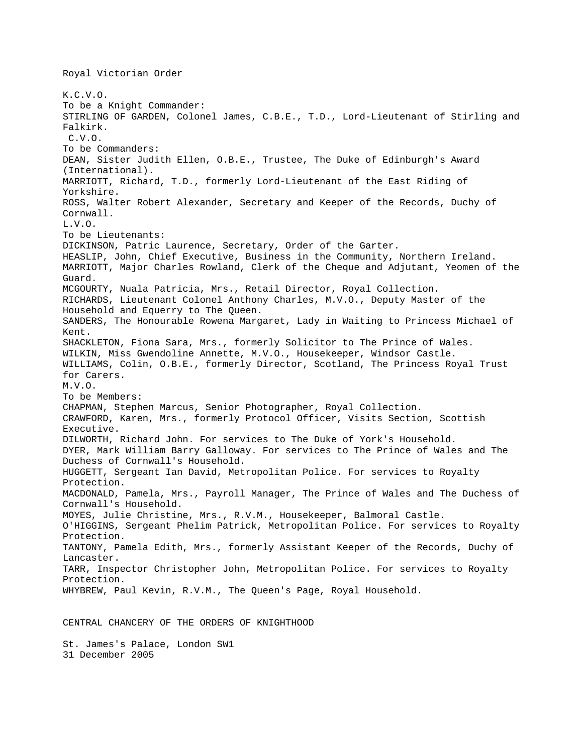K.C.V.O. To be a Knight Commander: STIRLING OF GARDEN, Colonel James, C.B.E., T.D., Lord-Lieutenant of Stirling and Falkirk. C.V.O. To be Commanders: DEAN, Sister Judith Ellen, O.B.E., Trustee, The Duke of Edinburgh's Award (International). MARRIOTT, Richard, T.D., formerly Lord-Lieutenant of the East Riding of Yorkshire. ROSS, Walter Robert Alexander, Secretary and Keeper of the Records, Duchy of Cornwall. L.V.O. To be Lieutenants: DICKINSON, Patric Laurence, Secretary, Order of the Garter. HEASLIP, John, Chief Executive, Business in the Community, Northern Ireland. MARRIOTT, Major Charles Rowland, Clerk of the Cheque and Adjutant, Yeomen of the Guard. MCGOURTY, Nuala Patricia, Mrs., Retail Director, Royal Collection. RICHARDS, Lieutenant Colonel Anthony Charles, M.V.O., Deputy Master of the Household and Equerry to The Queen. SANDERS, The Honourable Rowena Margaret, Lady in Waiting to Princess Michael of Kent. SHACKLETON, Fiona Sara, Mrs., formerly Solicitor to The Prince of Wales. WILKIN, Miss Gwendoline Annette, M.V.O., Housekeeper, Windsor Castle. WILLIAMS, Colin, O.B.E., formerly Director, Scotland, The Princess Royal Trust for Carers. M.V.O. To be Members: CHAPMAN, Stephen Marcus, Senior Photographer, Royal Collection. CRAWFORD, Karen, Mrs., formerly Protocol Officer, Visits Section, Scottish Executive. DILWORTH, Richard John. For services to The Duke of York's Household. DYER, Mark William Barry Galloway. For services to The Prince of Wales and The Duchess of Cornwall's Household. HUGGETT, Sergeant Ian David, Metropolitan Police. For services to Royalty Protection. MACDONALD, Pamela, Mrs., Payroll Manager, The Prince of Wales and The Duchess of Cornwall's Household. MOYES, Julie Christine, Mrs., R.V.M., Housekeeper, Balmoral Castle. O'HIGGINS, Sergeant Phelim Patrick, Metropolitan Police. For services to Royalty Protection. TANTONY, Pamela Edith, Mrs., formerly Assistant Keeper of the Records, Duchy of Lancaster. TARR, Inspector Christopher John, Metropolitan Police. For services to Royalty Protection. WHYBREW, Paul Kevin, R.V.M., The Queen's Page, Royal Household.

CENTRAL CHANCERY OF THE ORDERS OF KNIGHTHOOD

St. James's Palace, London SW1 31 December 2005

Royal Victorian Order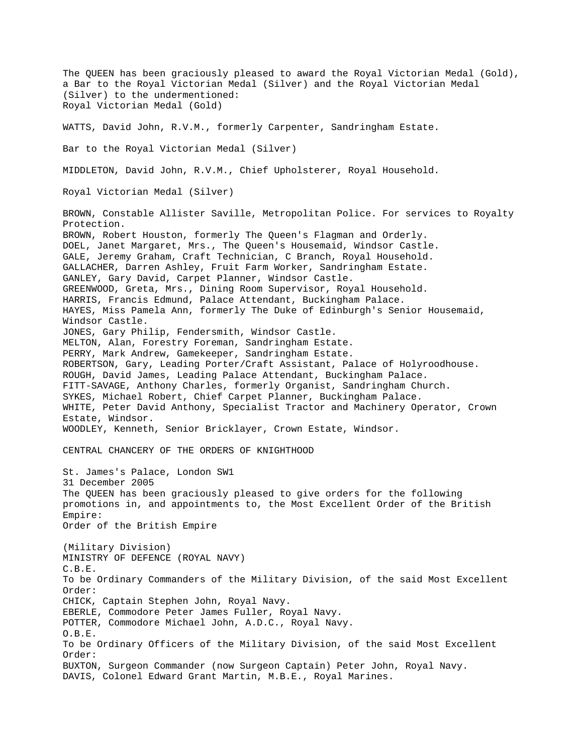The QUEEN has been graciously pleased to award the Royal Victorian Medal (Gold), a Bar to the Royal Victorian Medal (Silver) and the Royal Victorian Medal (Silver) to the undermentioned: Royal Victorian Medal (Gold) WATTS, David John, R.V.M., formerly Carpenter, Sandringham Estate. Bar to the Royal Victorian Medal (Silver) MIDDLETON, David John, R.V.M., Chief Upholsterer, Royal Household. Royal Victorian Medal (Silver) BROWN, Constable Allister Saville, Metropolitan Police. For services to Royalty Protection. BROWN, Robert Houston, formerly The Queen's Flagman and Orderly. DOEL, Janet Margaret, Mrs., The Queen's Housemaid, Windsor Castle. GALE, Jeremy Graham, Craft Technician, C Branch, Royal Household. GALLACHER, Darren Ashley, Fruit Farm Worker, Sandringham Estate. GANLEY, Gary David, Carpet Planner, Windsor Castle. GREENWOOD, Greta, Mrs., Dining Room Supervisor, Royal Household. HARRIS, Francis Edmund, Palace Attendant, Buckingham Palace. HAYES, Miss Pamela Ann, formerly The Duke of Edinburgh's Senior Housemaid, Windsor Castle. JONES, Gary Philip, Fendersmith, Windsor Castle. MELTON, Alan, Forestry Foreman, Sandringham Estate. PERRY, Mark Andrew, Gamekeeper, Sandringham Estate. ROBERTSON, Gary, Leading Porter/Craft Assistant, Palace of Holyroodhouse. ROUGH, David James, Leading Palace Attendant, Buckingham Palace. FITT-SAVAGE, Anthony Charles, formerly Organist, Sandringham Church. SYKES, Michael Robert, Chief Carpet Planner, Buckingham Palace. WHITE, Peter David Anthony, Specialist Tractor and Machinery Operator, Crown Estate, Windsor. WOODLEY, Kenneth, Senior Bricklayer, Crown Estate, Windsor. CENTRAL CHANCERY OF THE ORDERS OF KNIGHTHOOD St. James's Palace, London SW1 31 December 2005 The QUEEN has been graciously pleased to give orders for the following promotions in, and appointments to, the Most Excellent Order of the British Empire: Order of the British Empire (Military Division) MINISTRY OF DEFENCE (ROYAL NAVY) C.B.E. To be Ordinary Commanders of the Military Division, of the said Most Excellent Order: CHICK, Captain Stephen John, Royal Navy. EBERLE, Commodore Peter James Fuller, Royal Navy. POTTER, Commodore Michael John, A.D.C., Royal Navy. O.B.E. To be Ordinary Officers of the Military Division, of the said Most Excellent Order: BUXTON, Surgeon Commander (now Surgeon Captain) Peter John, Royal Navy. DAVIS, Colonel Edward Grant Martin, M.B.E., Royal Marines.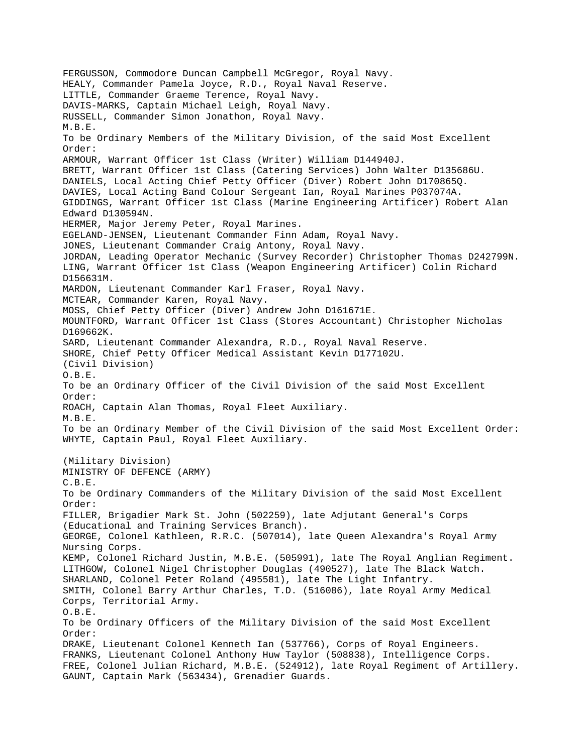FERGUSSON, Commodore Duncan Campbell McGregor, Royal Navy. HEALY, Commander Pamela Joyce, R.D., Royal Naval Reserve. LITTLE, Commander Graeme Terence, Royal Navy. DAVIS-MARKS, Captain Michael Leigh, Royal Navy. RUSSELL, Commander Simon Jonathon, Royal Navy. M.B.E. To be Ordinary Members of the Military Division, of the said Most Excellent Order: ARMOUR, Warrant Officer 1st Class (Writer) William D144940J. BRETT, Warrant Officer 1st Class (Catering Services) John Walter D135686U. DANIELS, Local Acting Chief Petty Officer (Diver) Robert John D170865Q. DAVIES, Local Acting Band Colour Sergeant Ian, Royal Marines P037074A. GIDDINGS, Warrant Officer 1st Class (Marine Engineering Artificer) Robert Alan Edward D130594N. HERMER, Major Jeremy Peter, Royal Marines. EGELAND-JENSEN, Lieutenant Commander Finn Adam, Royal Navy. JONES, Lieutenant Commander Craig Antony, Royal Navy. JORDAN, Leading Operator Mechanic (Survey Recorder) Christopher Thomas D242799N. LING, Warrant Officer 1st Class (Weapon Engineering Artificer) Colin Richard D156631M. MARDON, Lieutenant Commander Karl Fraser, Royal Navy. MCTEAR, Commander Karen, Royal Navy. MOSS, Chief Petty Officer (Diver) Andrew John D161671E. MOUNTFORD, Warrant Officer 1st Class (Stores Accountant) Christopher Nicholas D169662K. SARD, Lieutenant Commander Alexandra, R.D., Royal Naval Reserve. SHORE, Chief Petty Officer Medical Assistant Kevin D177102U. (Civil Division) O.B.E. To be an Ordinary Officer of the Civil Division of the said Most Excellent Order: ROACH, Captain Alan Thomas, Royal Fleet Auxiliary. M.B.E. To be an Ordinary Member of the Civil Division of the said Most Excellent Order: WHYTE, Captain Paul, Royal Fleet Auxiliary. (Military Division) MINISTRY OF DEFENCE (ARMY) C.B.E. To be Ordinary Commanders of the Military Division of the said Most Excellent Order: FILLER, Brigadier Mark St. John (502259), late Adjutant General's Corps (Educational and Training Services Branch). GEORGE, Colonel Kathleen, R.R.C. (507014), late Queen Alexandra's Royal Army Nursing Corps. KEMP, Colonel Richard Justin, M.B.E. (505991), late The Royal Anglian Regiment. LITHGOW, Colonel Nigel Christopher Douglas (490527), late The Black Watch. SHARLAND, Colonel Peter Roland (495581), late The Light Infantry. SMITH, Colonel Barry Arthur Charles, T.D. (516086), late Royal Army Medical Corps, Territorial Army. O.B.E. To be Ordinary Officers of the Military Division of the said Most Excellent Order: DRAKE, Lieutenant Colonel Kenneth Ian (537766), Corps of Royal Engineers. FRANKS, Lieutenant Colonel Anthony Huw Taylor (508838), Intelligence Corps. FREE, Colonel Julian Richard, M.B.E. (524912), late Royal Regiment of Artillery. GAUNT, Captain Mark (563434), Grenadier Guards.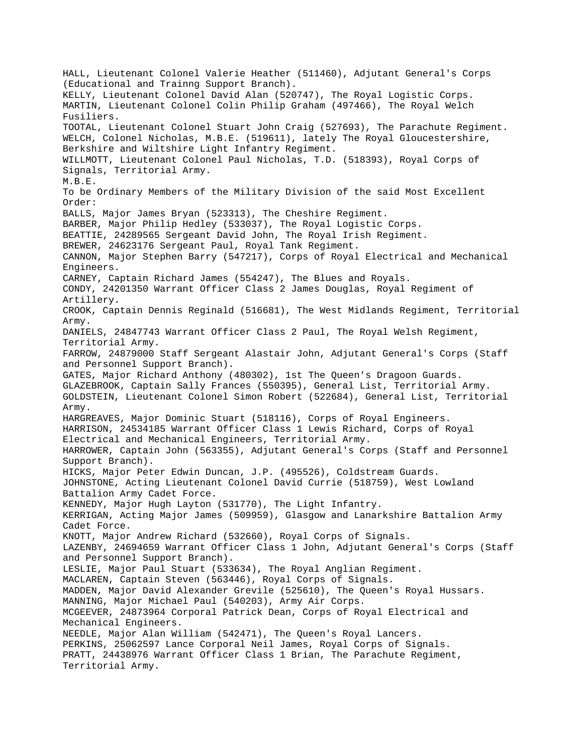HALL, Lieutenant Colonel Valerie Heather (511460), Adjutant General's Corps (Educational and Trainng Support Branch). KELLY, Lieutenant Colonel David Alan (520747), The Royal Logistic Corps. MARTIN, Lieutenant Colonel Colin Philip Graham (497466), The Royal Welch Fusiliers. TOOTAL, Lieutenant Colonel Stuart John Craig (527693), The Parachute Regiment. WELCH, Colonel Nicholas, M.B.E. (519611), lately The Royal Gloucestershire, Berkshire and Wiltshire Light Infantry Regiment. WILLMOTT, Lieutenant Colonel Paul Nicholas, T.D. (518393), Royal Corps of Signals, Territorial Army. M.B.E. To be Ordinary Members of the Military Division of the said Most Excellent Order: BALLS, Major James Bryan (523313), The Cheshire Regiment. BARBER, Major Philip Hedley (533037), The Royal Logistic Corps. BEATTIE, 24289565 Sergeant David John, The Royal Irish Regiment. BREWER, 24623176 Sergeant Paul, Royal Tank Regiment. CANNON, Major Stephen Barry (547217), Corps of Royal Electrical and Mechanical Engineers. CARNEY, Captain Richard James (554247), The Blues and Royals. CONDY, 24201350 Warrant Officer Class 2 James Douglas, Royal Regiment of Artillery. CROOK, Captain Dennis Reginald (516681), The West Midlands Regiment, Territorial Army. DANIELS, 24847743 Warrant Officer Class 2 Paul, The Royal Welsh Regiment, Territorial Army. FARROW, 24879000 Staff Sergeant Alastair John, Adjutant General's Corps (Staff and Personnel Support Branch). GATES, Major Richard Anthony (480302), 1st The Queen's Dragoon Guards. GLAZEBROOK, Captain Sally Frances (550395), General List, Territorial Army. GOLDSTEIN, Lieutenant Colonel Simon Robert (522684), General List, Territorial Army. HARGREAVES, Major Dominic Stuart (518116), Corps of Royal Engineers. HARRISON, 24534185 Warrant Officer Class 1 Lewis Richard, Corps of Royal Electrical and Mechanical Engineers, Territorial Army. HARROWER, Captain John (563355), Adjutant General's Corps (Staff and Personnel Support Branch). HICKS, Major Peter Edwin Duncan, J.P. (495526), Coldstream Guards. JOHNSTONE, Acting Lieutenant Colonel David Currie (518759), West Lowland Battalion Army Cadet Force. KENNEDY, Major Hugh Layton (531770), The Light Infantry. KERRIGAN, Acting Major James (509959), Glasgow and Lanarkshire Battalion Army Cadet Force. KNOTT, Major Andrew Richard (532660), Royal Corps of Signals. LAZENBY, 24694659 Warrant Officer Class 1 John, Adjutant General's Corps (Staff and Personnel Support Branch). LESLIE, Major Paul Stuart (533634), The Royal Anglian Regiment. MACLAREN, Captain Steven (563446), Royal Corps of Signals. MADDEN, Major David Alexander Grevile (525610), The Queen's Royal Hussars. MANNING, Major Michael Paul (540203), Army Air Corps. MCGEEVER, 24873964 Corporal Patrick Dean, Corps of Royal Electrical and Mechanical Engineers. NEEDLE, Major Alan William (542471), The Queen's Royal Lancers. PERKINS, 25062597 Lance Corporal Neil James, Royal Corps of Signals. PRATT, 24438976 Warrant Officer Class 1 Brian, The Parachute Regiment, Territorial Army.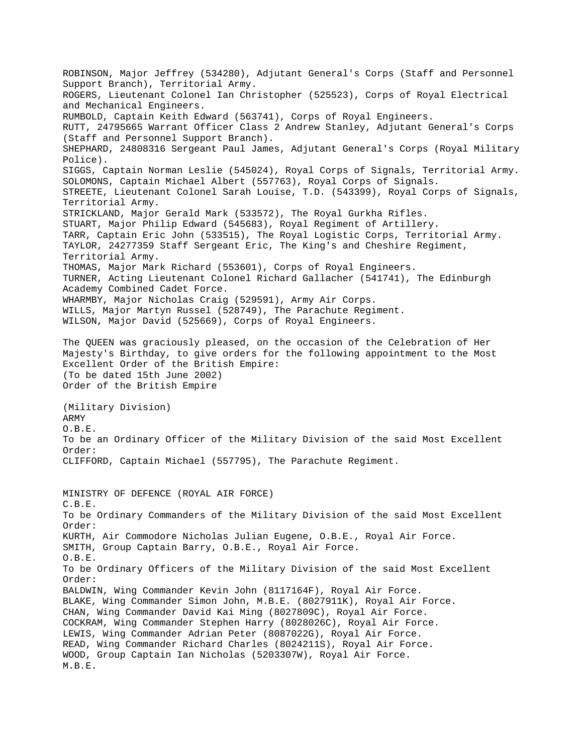ROBINSON, Major Jeffrey (534280), Adjutant General's Corps (Staff and Personnel Support Branch), Territorial Army. ROGERS, Lieutenant Colonel Ian Christopher (525523), Corps of Royal Electrical and Mechanical Engineers. RUMBOLD, Captain Keith Edward (563741), Corps of Royal Engineers. RUTT, 24795665 Warrant Officer Class 2 Andrew Stanley, Adjutant General's Corps (Staff and Personnel Support Branch). SHEPHARD, 24808316 Sergeant Paul James, Adjutant General's Corps (Royal Military Police). SIGGS, Captain Norman Leslie (545024), Royal Corps of Signals, Territorial Army. SOLOMONS, Captain Michael Albert (557763), Royal Corps of Signals. STREETE, Lieutenant Colonel Sarah Louise, T.D. (543399), Royal Corps of Signals, Territorial Army. STRICKLAND, Major Gerald Mark (533572), The Royal Gurkha Rifles. STUART, Major Philip Edward (545683), Royal Regiment of Artillery. TARR, Captain Eric John (533515), The Royal Logistic Corps, Territorial Army. TAYLOR, 24277359 Staff Sergeant Eric, The King's and Cheshire Regiment, Territorial Army. THOMAS, Major Mark Richard (553601), Corps of Royal Engineers. TURNER, Acting Lieutenant Colonel Richard Gallacher (541741), The Edinburgh Academy Combined Cadet Force. WHARMBY, Major Nicholas Craig (529591), Army Air Corps. WILLS, Major Martyn Russel (528749), The Parachute Regiment. WILSON, Major David (525669), Corps of Royal Engineers. The QUEEN was graciously pleased, on the occasion of the Celebration of Her Majesty's Birthday, to give orders for the following appointment to the Most Excellent Order of the British Empire: (To be dated 15th June 2002) Order of the British Empire (Military Division) ARMY O.B.E. To be an Ordinary Officer of the Military Division of the said Most Excellent Order: CLIFFORD, Captain Michael (557795), The Parachute Regiment. MINISTRY OF DEFENCE (ROYAL AIR FORCE) C.B.E. To be Ordinary Commanders of the Military Division of the said Most Excellent Order: KURTH, Air Commodore Nicholas Julian Eugene, O.B.E., Royal Air Force. SMITH, Group Captain Barry, O.B.E., Royal Air Force. O.B.E. To be Ordinary Officers of the Military Division of the said Most Excellent Order: BALDWIN, Wing Commander Kevin John (8117164F), Royal Air Force. BLAKE, Wing Commander Simon John, M.B.E. (8027911K), Royal Air Force. CHAN, Wing Commander David Kai Ming (8027809C), Royal Air Force. COCKRAM, Wing Commander Stephen Harry (8028026C), Royal Air Force. LEWIS, Wing Commander Adrian Peter (8087022G), Royal Air Force. READ, Wing Commander Richard Charles (8024211S), Royal Air Force. WOOD, Group Captain Ian Nicholas (5203307W), Royal Air Force. M.B.E.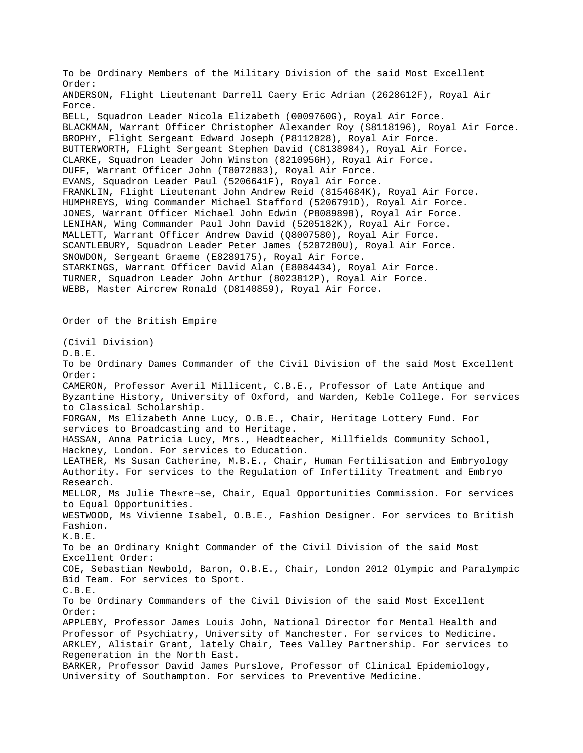To be Ordinary Members of the Military Division of the said Most Excellent Order: ANDERSON, Flight Lieutenant Darrell Caery Eric Adrian (2628612F), Royal Air Force. BELL, Squadron Leader Nicola Elizabeth (0009760G), Royal Air Force. BLACKMAN, Warrant Officer Christopher Alexander Roy (S8118196), Royal Air Force. BROPHY, Flight Sergeant Edward Joseph (P8112028), Royal Air Force. BUTTERWORTH, Flight Sergeant Stephen David (C8138984), Royal Air Force. CLARKE, Squadron Leader John Winston (8210956H), Royal Air Force. DUFF, Warrant Officer John (T8072883), Royal Air Force. EVANS, Squadron Leader Paul (5206641F), Royal Air Force. FRANKLIN, Flight Lieutenant John Andrew Reid (8154684K), Royal Air Force. HUMPHREYS, Wing Commander Michael Stafford (5206791D), Royal Air Force. JONES, Warrant Officer Michael John Edwin (P8089898), Royal Air Force. LENIHAN, Wing Commander Paul John David (5205182K), Royal Air Force. MALLETT, Warrant Officer Andrew David (Q8007580), Royal Air Force. SCANTLEBURY, Squadron Leader Peter James (5207280U), Royal Air Force. SNOWDON, Sergeant Graeme (E8289175), Royal Air Force. STARKINGS, Warrant Officer David Alan (E8084434), Royal Air Force. TURNER, Squadron Leader John Arthur (8023812P), Royal Air Force. WEBB, Master Aircrew Ronald (D8140859), Royal Air Force. Order of the British Empire (Civil Division) D.B.E. To be Ordinary Dames Commander of the Civil Division of the said Most Excellent Order: CAMERON, Professor Averil Millicent, C.B.E., Professor of Late Antique and Byzantine History, University of Oxford, and Warden, Keble College. For services to Classical Scholarship. FORGAN, Ms Elizabeth Anne Lucy, O.B.E., Chair, Heritage Lottery Fund. For services to Broadcasting and to Heritage. HASSAN, Anna Patricia Lucy, Mrs., Headteacher, Millfields Community School, Hackney, London. For services to Education. LEATHER, Ms Susan Catherine, M.B.E., Chair, Human Fertilisation and Embryology Authority. For services to the Regulation of Infertility Treatment and Embryo Research. MELLOR, Ms Julie The«re¬se, Chair, Equal Opportunities Commission. For services to Equal Opportunities. WESTWOOD, Ms Vivienne Isabel, O.B.E., Fashion Designer. For services to British Fashion. K.B.E. To be an Ordinary Knight Commander of the Civil Division of the said Most Excellent Order: COE, Sebastian Newbold, Baron, O.B.E., Chair, London 2012 Olympic and Paralympic Bid Team. For services to Sport. C.B.E. To be Ordinary Commanders of the Civil Division of the said Most Excellent Order: APPLEBY, Professor James Louis John, National Director for Mental Health and Professor of Psychiatry, University of Manchester. For services to Medicine. ARKLEY, Alistair Grant, lately Chair, Tees Valley Partnership. For services to Regeneration in the North East. BARKER, Professor David James Purslove, Professor of Clinical Epidemiology, University of Southampton. For services to Preventive Medicine.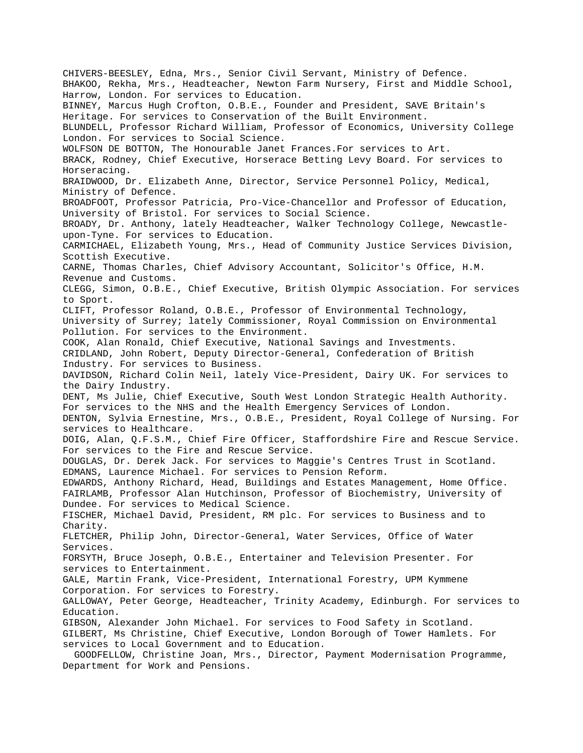CHIVERS-BEESLEY, Edna, Mrs., Senior Civil Servant, Ministry of Defence. BHAKOO, Rekha, Mrs., Headteacher, Newton Farm Nursery, First and Middle School, Harrow, London. For services to Education. BINNEY, Marcus Hugh Crofton, O.B.E., Founder and President, SAVE Britain's Heritage. For services to Conservation of the Built Environment. BLUNDELL, Professor Richard William, Professor of Economics, University College London. For services to Social Science. WOLFSON DE BOTTON, The Honourable Janet Frances.For services to Art. BRACK, Rodney, Chief Executive, Horserace Betting Levy Board. For services to Horseracing. BRAIDWOOD, Dr. Elizabeth Anne, Director, Service Personnel Policy, Medical, Ministry of Defence. BROADFOOT, Professor Patricia, Pro-Vice-Chancellor and Professor of Education, University of Bristol. For services to Social Science. BROADY, Dr. Anthony, lately Headteacher, Walker Technology College, Newcastleupon-Tyne. For services to Education. CARMICHAEL, Elizabeth Young, Mrs., Head of Community Justice Services Division, Scottish Executive. CARNE, Thomas Charles, Chief Advisory Accountant, Solicitor's Office, H.M. Revenue and Customs. CLEGG, Simon, O.B.E., Chief Executive, British Olympic Association. For services to Sport. CLIFT, Professor Roland, O.B.E., Professor of Environmental Technology, University of Surrey; lately Commissioner, Royal Commission on Environmental Pollution. For services to the Environment. COOK, Alan Ronald, Chief Executive, National Savings and Investments. CRIDLAND, John Robert, Deputy Director-General, Confederation of British Industry. For services to Business. DAVIDSON, Richard Colin Neil, lately Vice-President, Dairy UK. For services to the Dairy Industry. DENT, Ms Julie, Chief Executive, South West London Strategic Health Authority. For services to the NHS and the Health Emergency Services of London. DENTON, Sylvia Ernestine, Mrs., O.B.E., President, Royal College of Nursing. For services to Healthcare. DOIG, Alan, Q.F.S.M., Chief Fire Officer, Staffordshire Fire and Rescue Service. For services to the Fire and Rescue Service. DOUGLAS, Dr. Derek Jack. For services to Maggie's Centres Trust in Scotland. EDMANS, Laurence Michael. For services to Pension Reform. EDWARDS, Anthony Richard, Head, Buildings and Estates Management, Home Office. FAIRLAMB, Professor Alan Hutchinson, Professor of Biochemistry, University of Dundee. For services to Medical Science. FISCHER, Michael David, President, RM plc. For services to Business and to Charity. FLETCHER, Philip John, Director-General, Water Services, Office of Water Services. FORSYTH, Bruce Joseph, O.B.E., Entertainer and Television Presenter. For services to Entertainment. GALE, Martin Frank, Vice-President, International Forestry, UPM Kymmene Corporation. For services to Forestry. GALLOWAY, Peter George, Headteacher, Trinity Academy, Edinburgh. For services to Education. GIBSON, Alexander John Michael. For services to Food Safety in Scotland. GILBERT, Ms Christine, Chief Executive, London Borough of Tower Hamlets. For services to Local Government and to Education. GOODFELLOW, Christine Joan, Mrs., Director, Payment Modernisation Programme, Department for Work and Pensions.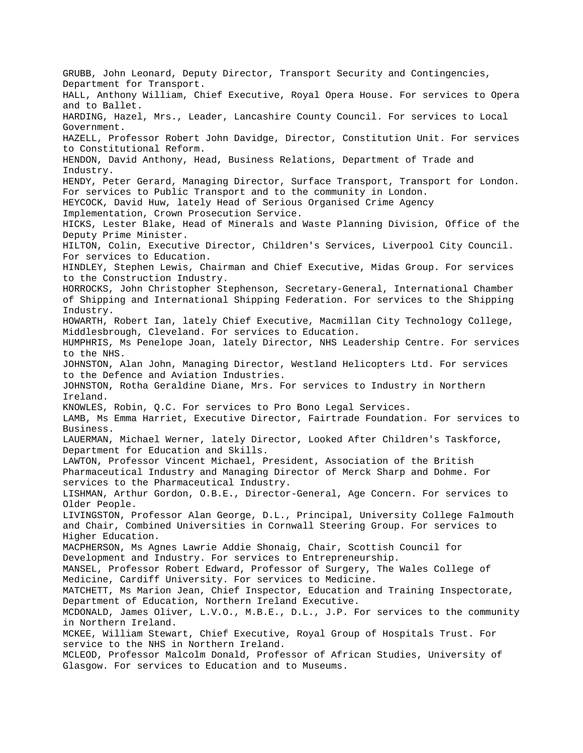GRUBB, John Leonard, Deputy Director, Transport Security and Contingencies, Department for Transport. HALL, Anthony William, Chief Executive, Royal Opera House. For services to Opera and to Ballet. HARDING, Hazel, Mrs., Leader, Lancashire County Council. For services to Local Government. HAZELL, Professor Robert John Davidge, Director, Constitution Unit. For services to Constitutional Reform. HENDON, David Anthony, Head, Business Relations, Department of Trade and Industry. HENDY, Peter Gerard, Managing Director, Surface Transport, Transport for London. For services to Public Transport and to the community in London. HEYCOCK, David Huw, lately Head of Serious Organised Crime Agency Implementation, Crown Prosecution Service. HICKS, Lester Blake, Head of Minerals and Waste Planning Division, Office of the Deputy Prime Minister. HILTON, Colin, Executive Director, Children's Services, Liverpool City Council. For services to Education. HINDLEY, Stephen Lewis, Chairman and Chief Executive, Midas Group. For services to the Construction Industry. HORROCKS, John Christopher Stephenson, Secretary-General, International Chamber of Shipping and International Shipping Federation. For services to the Shipping Industry. HOWARTH, Robert Ian, lately Chief Executive, Macmillan City Technology College, Middlesbrough, Cleveland. For services to Education. HUMPHRIS, Ms Penelope Joan, lately Director, NHS Leadership Centre. For services to the NHS. JOHNSTON, Alan John, Managing Director, Westland Helicopters Ltd. For services to the Defence and Aviation Industries. JOHNSTON, Rotha Geraldine Diane, Mrs. For services to Industry in Northern Ireland. KNOWLES, Robin, Q.C. For services to Pro Bono Legal Services. LAMB, Ms Emma Harriet, Executive Director, Fairtrade Foundation. For services to Business. LAUERMAN, Michael Werner, lately Director, Looked After Children's Taskforce, Department for Education and Skills. LAWTON, Professor Vincent Michael, President, Association of the British Pharmaceutical Industry and Managing Director of Merck Sharp and Dohme. For services to the Pharmaceutical Industry. LISHMAN, Arthur Gordon, O.B.E., Director-General, Age Concern. For services to Older People. LIVINGSTON, Professor Alan George, D.L., Principal, University College Falmouth and Chair, Combined Universities in Cornwall Steering Group. For services to Higher Education. MACPHERSON, Ms Agnes Lawrie Addie Shonaig, Chair, Scottish Council for Development and Industry. For services to Entrepreneurship. MANSEL, Professor Robert Edward, Professor of Surgery, The Wales College of Medicine, Cardiff University. For services to Medicine. MATCHETT, Ms Marion Jean, Chief Inspector, Education and Training Inspectorate, Department of Education, Northern Ireland Executive. MCDONALD, James Oliver, L.V.O., M.B.E., D.L., J.P. For services to the community in Northern Ireland. MCKEE, William Stewart, Chief Executive, Royal Group of Hospitals Trust. For service to the NHS in Northern Ireland. MCLEOD, Professor Malcolm Donald, Professor of African Studies, University of Glasgow. For services to Education and to Museums.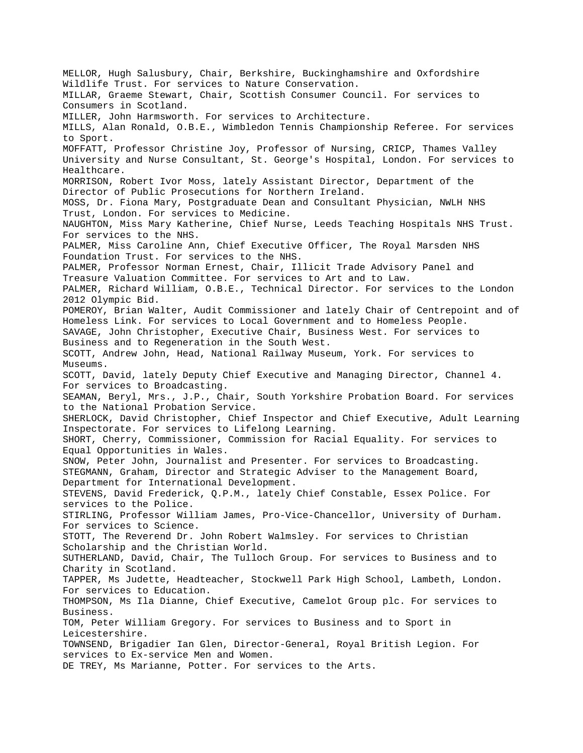MELLOR, Hugh Salusbury, Chair, Berkshire, Buckinghamshire and Oxfordshire Wildlife Trust. For services to Nature Conservation. MILLAR, Graeme Stewart, Chair, Scottish Consumer Council. For services to Consumers in Scotland. MILLER, John Harmsworth. For services to Architecture. MILLS, Alan Ronald, O.B.E., Wimbledon Tennis Championship Referee. For services to Sport. MOFFATT, Professor Christine Joy, Professor of Nursing, CRICP, Thames Valley University and Nurse Consultant, St. George's Hospital, London. For services to Healthcare. MORRISON, Robert Ivor Moss, lately Assistant Director, Department of the Director of Public Prosecutions for Northern Ireland. MOSS, Dr. Fiona Mary, Postgraduate Dean and Consultant Physician, NWLH NHS Trust, London. For services to Medicine. NAUGHTON, Miss Mary Katherine, Chief Nurse, Leeds Teaching Hospitals NHS Trust. For services to the NHS. PALMER, Miss Caroline Ann, Chief Executive Officer, The Royal Marsden NHS Foundation Trust. For services to the NHS. PALMER, Professor Norman Ernest, Chair, Illicit Trade Advisory Panel and Treasure Valuation Committee. For services to Art and to Law. PALMER, Richard William, O.B.E., Technical Director. For services to the London 2012 Olympic Bid. POMEROY, Brian Walter, Audit Commissioner and lately Chair of Centrepoint and of Homeless Link. For services to Local Government and to Homeless People. SAVAGE, John Christopher, Executive Chair, Business West. For services to Business and to Regeneration in the South West. SCOTT, Andrew John, Head, National Railway Museum, York. For services to Museums. SCOTT, David, lately Deputy Chief Executive and Managing Director, Channel 4. For services to Broadcasting. SEAMAN, Beryl, Mrs., J.P., Chair, South Yorkshire Probation Board. For services to the National Probation Service. SHERLOCK, David Christopher, Chief Inspector and Chief Executive, Adult Learning Inspectorate. For services to Lifelong Learning. SHORT, Cherry, Commissioner, Commission for Racial Equality. For services to Equal Opportunities in Wales. SNOW, Peter John, Journalist and Presenter. For services to Broadcasting. STEGMANN, Graham, Director and Strategic Adviser to the Management Board, Department for International Development. STEVENS, David Frederick, Q.P.M., lately Chief Constable, Essex Police. For services to the Police. STIRLING, Professor William James, Pro-Vice-Chancellor, University of Durham. For services to Science. STOTT, The Reverend Dr. John Robert Walmsley. For services to Christian Scholarship and the Christian World. SUTHERLAND, David, Chair, The Tulloch Group. For services to Business and to Charity in Scotland. TAPPER, Ms Judette, Headteacher, Stockwell Park High School, Lambeth, London. For services to Education. THOMPSON, Ms Ila Dianne, Chief Executive, Camelot Group plc. For services to Business. TOM, Peter William Gregory. For services to Business and to Sport in Leicestershire. TOWNSEND, Brigadier Ian Glen, Director-General, Royal British Legion. For services to Ex-service Men and Women. DE TREY, Ms Marianne, Potter. For services to the Arts.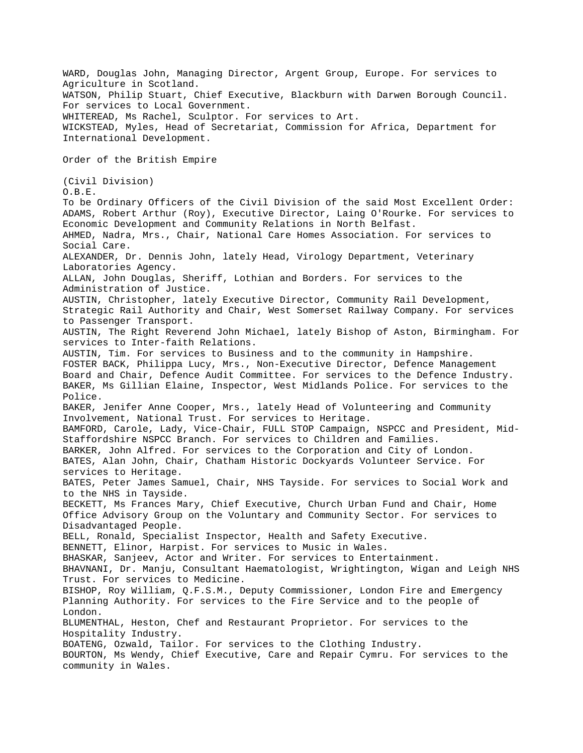WARD, Douglas John, Managing Director, Argent Group, Europe. For services to Agriculture in Scotland. WATSON, Philip Stuart, Chief Executive, Blackburn with Darwen Borough Council. For services to Local Government. WHITEREAD, Ms Rachel, Sculptor. For services to Art. WICKSTEAD, Myles, Head of Secretariat, Commission for Africa, Department for International Development. Order of the British Empire (Civil Division) O.B.E. To be Ordinary Officers of the Civil Division of the said Most Excellent Order: ADAMS, Robert Arthur (Roy), Executive Director, Laing O'Rourke. For services to Economic Development and Community Relations in North Belfast. AHMED, Nadra, Mrs., Chair, National Care Homes Association. For services to Social Care. ALEXANDER, Dr. Dennis John, lately Head, Virology Department, Veterinary Laboratories Agency. ALLAN, John Douglas, Sheriff, Lothian and Borders. For services to the Administration of Justice. AUSTIN, Christopher, lately Executive Director, Community Rail Development, Strategic Rail Authority and Chair, West Somerset Railway Company. For services to Passenger Transport. AUSTIN, The Right Reverend John Michael, lately Bishop of Aston, Birmingham. For services to Inter-faith Relations. AUSTIN, Tim. For services to Business and to the community in Hampshire. FOSTER BACK, Philippa Lucy, Mrs., Non-Executive Director, Defence Management Board and Chair, Defence Audit Committee. For services to the Defence Industry. BAKER, Ms Gillian Elaine, Inspector, West Midlands Police. For services to the Police. BAKER, Jenifer Anne Cooper, Mrs., lately Head of Volunteering and Community Involvement, National Trust. For services to Heritage. BAMFORD, Carole, Lady, Vice-Chair, FULL STOP Campaign, NSPCC and President, Mid-Staffordshire NSPCC Branch. For services to Children and Families. BARKER, John Alfred. For services to the Corporation and City of London. BATES, Alan John, Chair, Chatham Historic Dockyards Volunteer Service. For services to Heritage. BATES, Peter James Samuel, Chair, NHS Tayside. For services to Social Work and to the NHS in Tayside. BECKETT, Ms Frances Mary, Chief Executive, Church Urban Fund and Chair, Home Office Advisory Group on the Voluntary and Community Sector. For services to Disadvantaged People. BELL, Ronald, Specialist Inspector, Health and Safety Executive. BENNETT, Elinor, Harpist. For services to Music in Wales. BHASKAR, Sanjeev, Actor and Writer. For services to Entertainment. BHAVNANI, Dr. Manju, Consultant Haematologist, Wrightington, Wigan and Leigh NHS Trust. For services to Medicine. BISHOP, Roy William, Q.F.S.M., Deputy Commissioner, London Fire and Emergency Planning Authority. For services to the Fire Service and to the people of London. BLUMENTHAL, Heston, Chef and Restaurant Proprietor. For services to the Hospitality Industry. BOATENG, Ozwald, Tailor. For services to the Clothing Industry. BOURTON, Ms Wendy, Chief Executive, Care and Repair Cymru. For services to the community in Wales.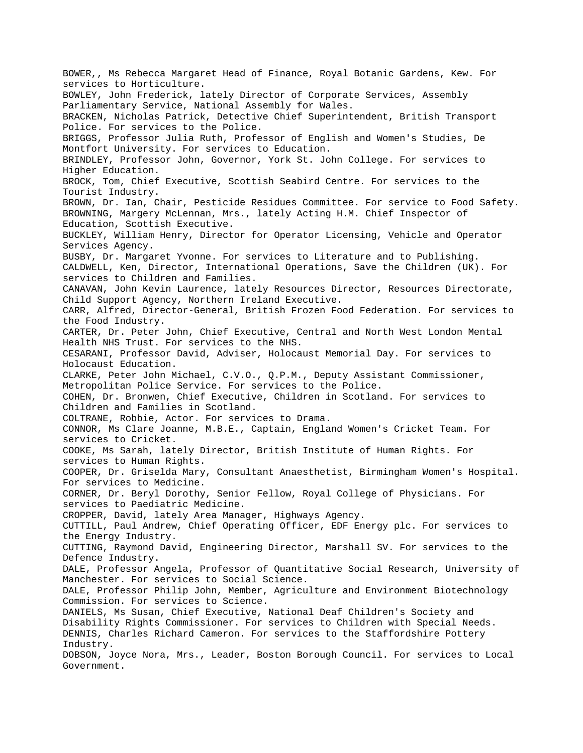BOWER,, Ms Rebecca Margaret Head of Finance, Royal Botanic Gardens, Kew. For services to Horticulture. BOWLEY, John Frederick, lately Director of Corporate Services, Assembly Parliamentary Service, National Assembly for Wales. BRACKEN, Nicholas Patrick, Detective Chief Superintendent, British Transport Police. For services to the Police. BRIGGS, Professor Julia Ruth, Professor of English and Women's Studies, De Montfort University. For services to Education. BRINDLEY, Professor John, Governor, York St. John College. For services to Higher Education. BROCK, Tom, Chief Executive, Scottish Seabird Centre. For services to the Tourist Industry. BROWN, Dr. Ian, Chair, Pesticide Residues Committee. For service to Food Safety. BROWNING, Margery McLennan, Mrs., lately Acting H.M. Chief Inspector of Education, Scottish Executive. BUCKLEY, William Henry, Director for Operator Licensing, Vehicle and Operator Services Agency. BUSBY, Dr. Margaret Yvonne. For services to Literature and to Publishing. CALDWELL, Ken, Director, International Operations, Save the Children (UK). For services to Children and Families. CANAVAN, John Kevin Laurence, lately Resources Director, Resources Directorate, Child Support Agency, Northern Ireland Executive. CARR, Alfred, Director-General, British Frozen Food Federation. For services to the Food Industry. CARTER, Dr. Peter John, Chief Executive, Central and North West London Mental Health NHS Trust. For services to the NHS. CESARANI, Professor David, Adviser, Holocaust Memorial Day. For services to Holocaust Education. CLARKE, Peter John Michael, C.V.O., Q.P.M., Deputy Assistant Commissioner, Metropolitan Police Service. For services to the Police. COHEN, Dr. Bronwen, Chief Executive, Children in Scotland. For services to Children and Families in Scotland. COLTRANE, Robbie, Actor. For services to Drama. CONNOR, Ms Clare Joanne, M.B.E., Captain, England Women's Cricket Team. For services to Cricket. COOKE, Ms Sarah, lately Director, British Institute of Human Rights. For services to Human Rights. COOPER, Dr. Griselda Mary, Consultant Anaesthetist, Birmingham Women's Hospital. For services to Medicine. CORNER, Dr. Beryl Dorothy, Senior Fellow, Royal College of Physicians. For services to Paediatric Medicine. CROPPER, David, lately Area Manager, Highways Agency. CUTTILL, Paul Andrew, Chief Operating Officer, EDF Energy plc. For services to the Energy Industry. CUTTING, Raymond David, Engineering Director, Marshall SV. For services to the Defence Industry. DALE, Professor Angela, Professor of Quantitative Social Research, University of Manchester. For services to Social Science. DALE, Professor Philip John, Member, Agriculture and Environment Biotechnology Commission. For services to Science. DANIELS, Ms Susan, Chief Executive, National Deaf Children's Society and Disability Rights Commissioner. For services to Children with Special Needs. DENNIS, Charles Richard Cameron. For services to the Staffordshire Pottery Industry. DOBSON, Joyce Nora, Mrs., Leader, Boston Borough Council. For services to Local Government.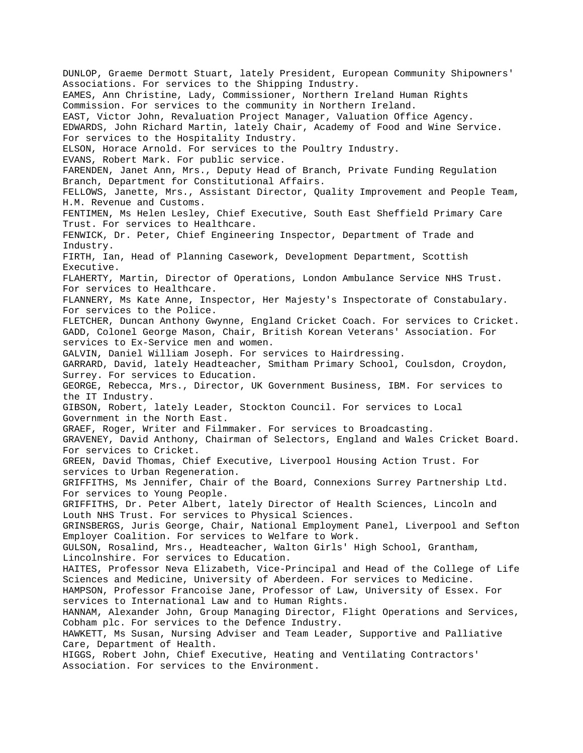DUNLOP, Graeme Dermott Stuart, lately President, European Community Shipowners' Associations. For services to the Shipping Industry. EAMES, Ann Christine, Lady, Commissioner, Northern Ireland Human Rights Commission. For services to the community in Northern Ireland. EAST, Victor John, Revaluation Project Manager, Valuation Office Agency. EDWARDS, John Richard Martin, lately Chair, Academy of Food and Wine Service. For services to the Hospitality Industry. ELSON, Horace Arnold. For services to the Poultry Industry. EVANS, Robert Mark. For public service. FARENDEN, Janet Ann, Mrs., Deputy Head of Branch, Private Funding Regulation Branch, Department for Constitutional Affairs. FELLOWS, Janette, Mrs., Assistant Director, Quality Improvement and People Team, H.M. Revenue and Customs. FENTIMEN, Ms Helen Lesley, Chief Executive, South East Sheffield Primary Care Trust. For services to Healthcare. FENWICK, Dr. Peter, Chief Engineering Inspector, Department of Trade and Industry. FIRTH, Ian, Head of Planning Casework, Development Department, Scottish Executive. FLAHERTY, Martin, Director of Operations, London Ambulance Service NHS Trust. For services to Healthcare. FLANNERY, Ms Kate Anne, Inspector, Her Majesty's Inspectorate of Constabulary. For services to the Police. FLETCHER, Duncan Anthony Gwynne, England Cricket Coach. For services to Cricket. GADD, Colonel George Mason, Chair, British Korean Veterans' Association. For services to Ex-Service men and women. GALVIN, Daniel William Joseph. For services to Hairdressing. GARRARD, David, lately Headteacher, Smitham Primary School, Coulsdon, Croydon, Surrey. For services to Education. GEORGE, Rebecca, Mrs., Director, UK Government Business, IBM. For services to the IT Industry. GIBSON, Robert, lately Leader, Stockton Council. For services to Local Government in the North East. GRAEF, Roger, Writer and Filmmaker. For services to Broadcasting. GRAVENEY, David Anthony, Chairman of Selectors, England and Wales Cricket Board. For services to Cricket. GREEN, David Thomas, Chief Executive, Liverpool Housing Action Trust. For services to Urban Regeneration. GRIFFITHS, Ms Jennifer, Chair of the Board, Connexions Surrey Partnership Ltd. For services to Young People. GRIFFITHS, Dr. Peter Albert, lately Director of Health Sciences, Lincoln and Louth NHS Trust. For services to Physical Sciences. GRINSBERGS, Juris George, Chair, National Employment Panel, Liverpool and Sefton Employer Coalition. For services to Welfare to Work. GULSON, Rosalind, Mrs., Headteacher, Walton Girls' High School, Grantham, Lincolnshire. For services to Education. HAITES, Professor Neva Elizabeth, Vice-Principal and Head of the College of Life Sciences and Medicine, University of Aberdeen. For services to Medicine. HAMPSON, Professor Francoise Jane, Professor of Law, University of Essex. For services to International Law and to Human Rights. HANNAM, Alexander John, Group Managing Director, Flight Operations and Services, Cobham plc. For services to the Defence Industry. HAWKETT, Ms Susan, Nursing Adviser and Team Leader, Supportive and Palliative Care, Department of Health. HIGGS, Robert John, Chief Executive, Heating and Ventilating Contractors' Association. For services to the Environment.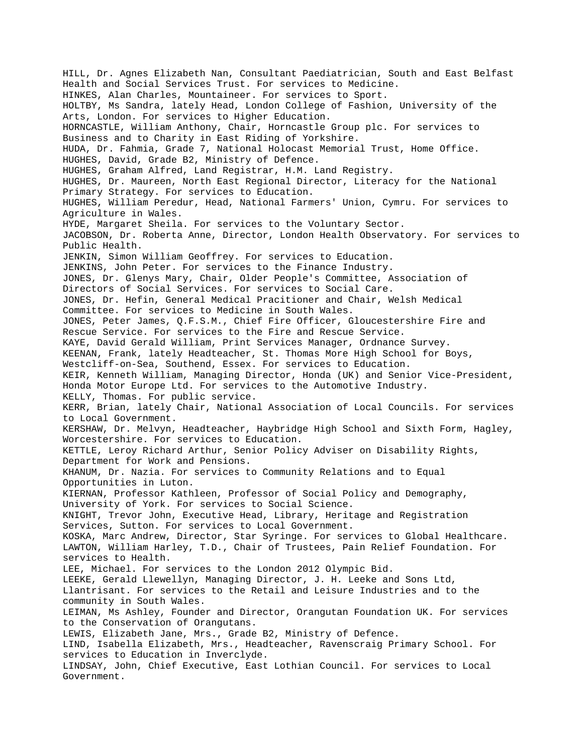HILL, Dr. Agnes Elizabeth Nan, Consultant Paediatrician, South and East Belfast Health and Social Services Trust. For services to Medicine. HINKES, Alan Charles, Mountaineer. For services to Sport. HOLTBY, Ms Sandra, lately Head, London College of Fashion, University of the Arts, London. For services to Higher Education. HORNCASTLE, William Anthony, Chair, Horncastle Group plc. For services to Business and to Charity in East Riding of Yorkshire. HUDA, Dr. Fahmia, Grade 7, National Holocast Memorial Trust, Home Office. HUGHES, David, Grade B2, Ministry of Defence. HUGHES, Graham Alfred, Land Registrar, H.M. Land Registry. HUGHES, Dr. Maureen, North East Regional Director, Literacy for the National Primary Strategy. For services to Education. HUGHES, William Peredur, Head, National Farmers' Union, Cymru. For services to Agriculture in Wales. HYDE, Margaret Sheila. For services to the Voluntary Sector. JACOBSON, Dr. Roberta Anne, Director, London Health Observatory. For services to Public Health. JENKIN, Simon William Geoffrey. For services to Education. JENKINS, John Peter. For services to the Finance Industry. JONES, Dr. Glenys Mary, Chair, Older People's Committee, Association of Directors of Social Services. For services to Social Care. JONES, Dr. Hefin, General Medical Pracitioner and Chair, Welsh Medical Committee. For services to Medicine in South Wales. JONES, Peter James, Q.F.S.M., Chief Fire Officer, Gloucestershire Fire and Rescue Service. For services to the Fire and Rescue Service. KAYE, David Gerald William, Print Services Manager, Ordnance Survey. KEENAN, Frank, lately Headteacher, St. Thomas More High School for Boys, Westcliff-on-Sea, Southend, Essex. For services to Education. KEIR, Kenneth William, Managing Director, Honda (UK) and Senior Vice-President, Honda Motor Europe Ltd. For services to the Automotive Industry. KELLY, Thomas. For public service. KERR, Brian, lately Chair, National Association of Local Councils. For services to Local Government. KERSHAW, Dr. Melvyn, Headteacher, Haybridge High School and Sixth Form, Hagley, Worcestershire. For services to Education. KETTLE, Leroy Richard Arthur, Senior Policy Adviser on Disability Rights, Department for Work and Pensions. KHANUM, Dr. Nazia. For services to Community Relations and to Equal Opportunities in Luton. KIERNAN, Professor Kathleen, Professor of Social Policy and Demography, University of York. For services to Social Science. KNIGHT, Trevor John, Executive Head, Library, Heritage and Registration Services, Sutton. For services to Local Government. KOSKA, Marc Andrew, Director, Star Syringe. For services to Global Healthcare. LAWTON, William Harley, T.D., Chair of Trustees, Pain Relief Foundation. For services to Health. LEE, Michael. For services to the London 2012 Olympic Bid. LEEKE, Gerald Llewellyn, Managing Director, J. H. Leeke and Sons Ltd, Llantrisant. For services to the Retail and Leisure Industries and to the community in South Wales. LEIMAN, Ms Ashley, Founder and Director, Orangutan Foundation UK. For services to the Conservation of Orangutans. LEWIS, Elizabeth Jane, Mrs., Grade B2, Ministry of Defence. LIND, Isabella Elizabeth, Mrs., Headteacher, Ravenscraig Primary School. For services to Education in Inverclyde. LINDSAY, John, Chief Executive, East Lothian Council. For services to Local Government.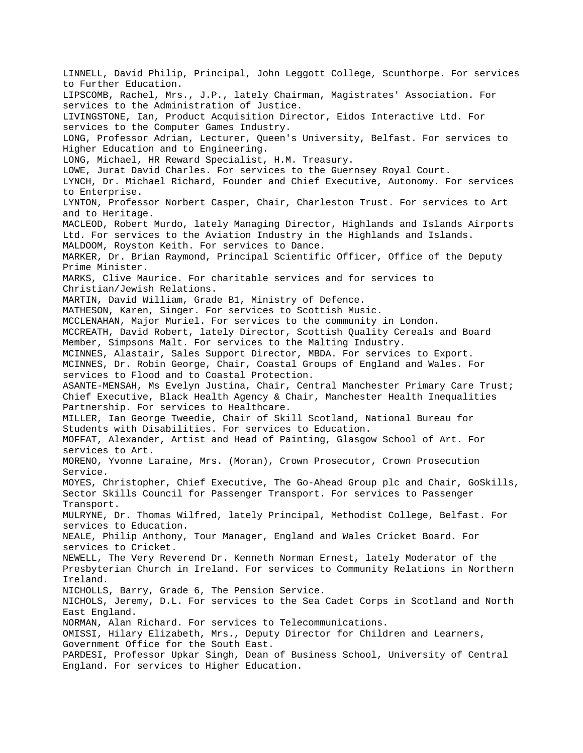LINNELL, David Philip, Principal, John Leggott College, Scunthorpe. For services to Further Education. LIPSCOMB, Rachel, Mrs., J.P., lately Chairman, Magistrates' Association. For services to the Administration of Justice. LIVINGSTONE, Ian, Product Acquisition Director, Eidos Interactive Ltd. For services to the Computer Games Industry. LONG, Professor Adrian, Lecturer, Queen's University, Belfast. For services to Higher Education and to Engineering. LONG, Michael, HR Reward Specialist, H.M. Treasury. LOWE, Jurat David Charles. For services to the Guernsey Royal Court. LYNCH, Dr. Michael Richard, Founder and Chief Executive, Autonomy. For services to Enterprise. LYNTON, Professor Norbert Casper, Chair, Charleston Trust. For services to Art and to Heritage. MACLEOD, Robert Murdo, lately Managing Director, Highlands and Islands Airports Ltd. For services to the Aviation Industry in the Highlands and Islands. MALDOOM, Royston Keith. For services to Dance. MARKER, Dr. Brian Raymond, Principal Scientific Officer, Office of the Deputy Prime Minister. MARKS, Clive Maurice. For charitable services and for services to Christian/Jewish Relations. MARTIN, David William, Grade B1, Ministry of Defence. MATHESON, Karen, Singer. For services to Scottish Music. MCCLENAHAN, Major Muriel. For services to the community in London. MCCREATH, David Robert, lately Director, Scottish Quality Cereals and Board Member, Simpsons Malt. For services to the Malting Industry. MCINNES, Alastair, Sales Support Director, MBDA. For services to Export. MCINNES, Dr. Robin George, Chair, Coastal Groups of England and Wales. For services to Flood and to Coastal Protection. ASANTE-MENSAH, Ms Evelyn Justina, Chair, Central Manchester Primary Care Trust; Chief Executive, Black Health Agency & Chair, Manchester Health Inequalities Partnership. For services to Healthcare. MILLER, Ian George Tweedie, Chair of Skill Scotland, National Bureau for Students with Disabilities. For services to Education. MOFFAT, Alexander, Artist and Head of Painting, Glasgow School of Art. For services to Art. MORENO, Yvonne Laraine, Mrs. (Moran), Crown Prosecutor, Crown Prosecution Service. MOYES, Christopher, Chief Executive, The Go-Ahead Group plc and Chair, GoSkills, Sector Skills Council for Passenger Transport. For services to Passenger Transport. MULRYNE, Dr. Thomas Wilfred, lately Principal, Methodist College, Belfast. For services to Education. NEALE, Philip Anthony, Tour Manager, England and Wales Cricket Board. For services to Cricket. NEWELL, The Very Reverend Dr. Kenneth Norman Ernest, lately Moderator of the Presbyterian Church in Ireland. For services to Community Relations in Northern Ireland. NICHOLLS, Barry, Grade 6, The Pension Service. NICHOLS, Jeremy, D.L. For services to the Sea Cadet Corps in Scotland and North East England. NORMAN, Alan Richard. For services to Telecommunications. OMISSI, Hilary Elizabeth, Mrs., Deputy Director for Children and Learners, Government Office for the South East. PARDESI, Professor Upkar Singh, Dean of Business School, University of Central England. For services to Higher Education.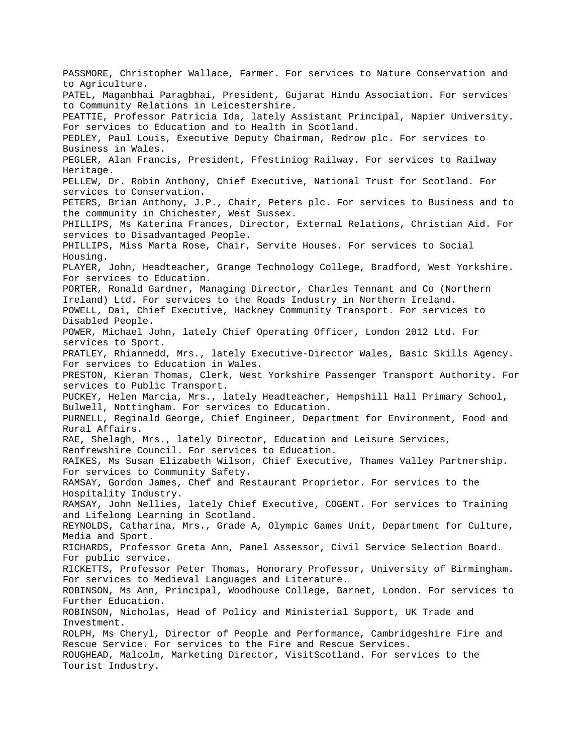PASSMORE, Christopher Wallace, Farmer. For services to Nature Conservation and to Agriculture. PATEL, Maganbhai Paragbhai, President, Gujarat Hindu Association. For services to Community Relations in Leicestershire. PEATTIE, Professor Patricia Ida, lately Assistant Principal, Napier University. For services to Education and to Health in Scotland. PEDLEY, Paul Louis, Executive Deputy Chairman, Redrow plc. For services to Business in Wales. PEGLER, Alan Francis, President, Ffestiniog Railway. For services to Railway Heritage. PELLEW, Dr. Robin Anthony, Chief Executive, National Trust for Scotland. For services to Conservation. PETERS, Brian Anthony, J.P., Chair, Peters plc. For services to Business and to the community in Chichester, West Sussex. PHILLIPS, Ms Katerina Frances, Director, External Relations, Christian Aid. For services to Disadvantaged People. PHILLIPS, Miss Marta Rose, Chair, Servite Houses. For services to Social Housing. PLAYER, John, Headteacher, Grange Technology College, Bradford, West Yorkshire. For services to Education. PORTER, Ronald Gardner, Managing Director, Charles Tennant and Co (Northern Ireland) Ltd. For services to the Roads Industry in Northern Ireland. POWELL, Dai, Chief Executive, Hackney Community Transport. For services to Disabled People. POWER, Michael John, lately Chief Operating Officer, London 2012 Ltd. For services to Sport. PRATLEY, Rhiannedd, Mrs., lately Executive-Director Wales, Basic Skills Agency. For services to Education in Wales. PRESTON, Kieran Thomas, Clerk, West Yorkshire Passenger Transport Authority. For services to Public Transport. PUCKEY, Helen Marcia, Mrs., lately Headteacher, Hempshill Hall Primary School, Bulwell, Nottingham. For services to Education. PURNELL, Reginald George, Chief Engineer, Department for Environment, Food and Rural Affairs. RAE, Shelagh, Mrs., lately Director, Education and Leisure Services, Renfrewshire Council. For services to Education. RAIKES, Ms Susan Elizabeth Wilson, Chief Executive, Thames Valley Partnership. For services to Community Safety. RAMSAY, Gordon James, Chef and Restaurant Proprietor. For services to the Hospitality Industry. RAMSAY, John Nellies, lately Chief Executive, COGENT. For services to Training and Lifelong Learning in Scotland. REYNOLDS, Catharina, Mrs., Grade A, Olympic Games Unit, Department for Culture, Media and Sport. RICHARDS, Professor Greta Ann, Panel Assessor, Civil Service Selection Board. For public service. RICKETTS, Professor Peter Thomas, Honorary Professor, University of Birmingham. For services to Medieval Languages and Literature. ROBINSON, Ms Ann, Principal, Woodhouse College, Barnet, London. For services to Further Education. ROBINSON, Nicholas, Head of Policy and Ministerial Support, UK Trade and Investment. ROLPH, Ms Cheryl, Director of People and Performance, Cambridgeshire Fire and Rescue Service. For services to the Fire and Rescue Services. ROUGHEAD, Malcolm, Marketing Director, VisitScotland. For services to the Tourist Industry.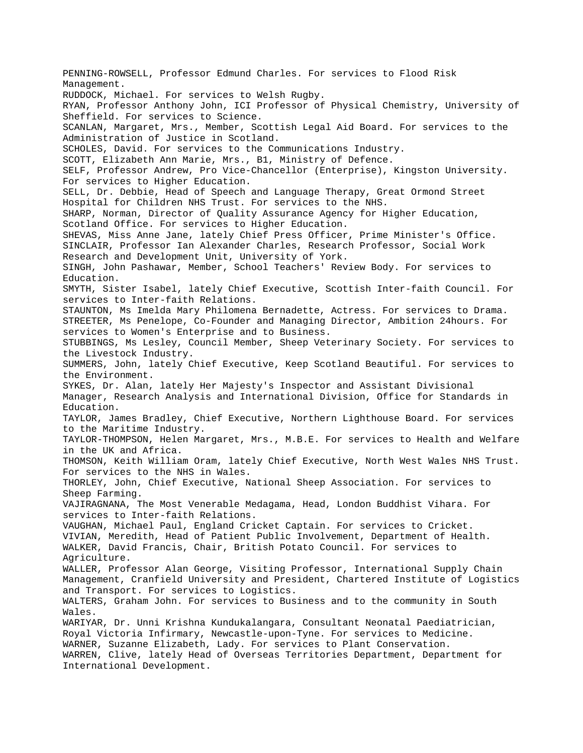PENNING-ROWSELL, Professor Edmund Charles. For services to Flood Risk Management. RUDDOCK, Michael. For services to Welsh Rugby. RYAN, Professor Anthony John, ICI Professor of Physical Chemistry, University of Sheffield. For services to Science. SCANLAN, Margaret, Mrs., Member, Scottish Legal Aid Board. For services to the Administration of Justice in Scotland. SCHOLES, David. For services to the Communications Industry. SCOTT, Elizabeth Ann Marie, Mrs., B1, Ministry of Defence. SELF, Professor Andrew, Pro Vice-Chancellor (Enterprise), Kingston University. For services to Higher Education. SELL, Dr. Debbie, Head of Speech and Language Therapy, Great Ormond Street Hospital for Children NHS Trust. For services to the NHS. SHARP, Norman, Director of Quality Assurance Agency for Higher Education, Scotland Office. For services to Higher Education. SHEVAS, Miss Anne Jane, lately Chief Press Officer, Prime Minister's Office. SINCLAIR, Professor Ian Alexander Charles, Research Professor, Social Work Research and Development Unit, University of York. SINGH, John Pashawar, Member, School Teachers' Review Body. For services to Education. SMYTH, Sister Isabel, lately Chief Executive, Scottish Inter-faith Council. For services to Inter-faith Relations. STAUNTON, Ms Imelda Mary Philomena Bernadette, Actress. For services to Drama. STREETER, Ms Penelope, Co-Founder and Managing Director, Ambition 24hours. For services to Women's Enterprise and to Business. STUBBINGS, Ms Lesley, Council Member, Sheep Veterinary Society. For services to the Livestock Industry. SUMMERS, John, lately Chief Executive, Keep Scotland Beautiful. For services to the Environment. SYKES, Dr. Alan, lately Her Majesty's Inspector and Assistant Divisional Manager, Research Analysis and International Division, Office for Standards in Education. TAYLOR, James Bradley, Chief Executive, Northern Lighthouse Board. For services to the Maritime Industry. TAYLOR-THOMPSON, Helen Margaret, Mrs., M.B.E. For services to Health and Welfare in the UK and Africa. THOMSON, Keith William Oram, lately Chief Executive, North West Wales NHS Trust. For services to the NHS in Wales. THORLEY, John, Chief Executive, National Sheep Association. For services to Sheep Farming. VAJIRAGNANA, The Most Venerable Medagama, Head, London Buddhist Vihara. For services to Inter-faith Relations. VAUGHAN, Michael Paul, England Cricket Captain. For services to Cricket. VIVIAN, Meredith, Head of Patient Public Involvement, Department of Health. WALKER, David Francis, Chair, British Potato Council. For services to Agriculture. WALLER, Professor Alan George, Visiting Professor, International Supply Chain Management, Cranfield University and President, Chartered Institute of Logistics and Transport. For services to Logistics. WALTERS, Graham John. For services to Business and to the community in South Wales. WARIYAR, Dr. Unni Krishna Kundukalangara, Consultant Neonatal Paediatrician, Royal Victoria Infirmary, Newcastle-upon-Tyne. For services to Medicine. WARNER, Suzanne Elizabeth, Lady. For services to Plant Conservation. WARREN, Clive, lately Head of Overseas Territories Department, Department for International Development.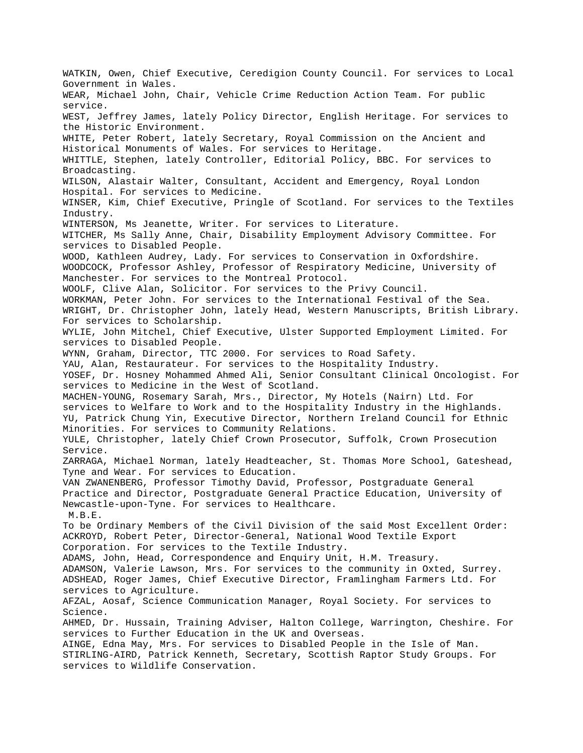WATKIN, Owen, Chief Executive, Ceredigion County Council. For services to Local Government in Wales. WEAR, Michael John, Chair, Vehicle Crime Reduction Action Team. For public service. WEST, Jeffrey James, lately Policy Director, English Heritage. For services to the Historic Environment. WHITE, Peter Robert, lately Secretary, Royal Commission on the Ancient and Historical Monuments of Wales. For services to Heritage. WHITTLE, Stephen, lately Controller, Editorial Policy, BBC. For services to Broadcasting. WILSON, Alastair Walter, Consultant, Accident and Emergency, Royal London Hospital. For services to Medicine. WINSER, Kim, Chief Executive, Pringle of Scotland. For services to the Textiles Industry. WINTERSON, Ms Jeanette, Writer. For services to Literature. WITCHER, Ms Sally Anne, Chair, Disability Employment Advisory Committee. For services to Disabled People. WOOD, Kathleen Audrey, Lady. For services to Conservation in Oxfordshire. WOODCOCK, Professor Ashley, Professor of Respiratory Medicine, University of Manchester. For services to the Montreal Protocol. WOOLF, Clive Alan, Solicitor. For services to the Privy Council. WORKMAN, Peter John. For services to the International Festival of the Sea. WRIGHT, Dr. Christopher John, lately Head, Western Manuscripts, British Library. For services to Scholarship. WYLIE, John Mitchel, Chief Executive, Ulster Supported Employment Limited. For services to Disabled People. WYNN, Graham, Director, TTC 2000. For services to Road Safety. YAU, Alan, Restaurateur. For services to the Hospitality Industry. YOSEF, Dr. Hosney Mohammed Ahmed Ali, Senior Consultant Clinical Oncologist. For services to Medicine in the West of Scotland. MACHEN-YOUNG, Rosemary Sarah, Mrs., Director, My Hotels (Nairn) Ltd. For services to Welfare to Work and to the Hospitality Industry in the Highlands. YU, Patrick Chung Yin, Executive Director, Northern Ireland Council for Ethnic Minorities. For services to Community Relations. YULE, Christopher, lately Chief Crown Prosecutor, Suffolk, Crown Prosecution Service. ZARRAGA, Michael Norman, lately Headteacher, St. Thomas More School, Gateshead, Tyne and Wear. For services to Education. VAN ZWANENBERG, Professor Timothy David, Professor, Postgraduate General Practice and Director, Postgraduate General Practice Education, University of Newcastle-upon-Tyne. For services to Healthcare. M.B.E. To be Ordinary Members of the Civil Division of the said Most Excellent Order: ACKROYD, Robert Peter, Director-General, National Wood Textile Export Corporation. For services to the Textile Industry. ADAMS, John, Head, Correspondence and Enquiry Unit, H.M. Treasury. ADAMSON, Valerie Lawson, Mrs. For services to the community in Oxted, Surrey. ADSHEAD, Roger James, Chief Executive Director, Framlingham Farmers Ltd. For services to Agriculture. AFZAL, Aosaf, Science Communication Manager, Royal Society. For services to Science. AHMED, Dr. Hussain, Training Adviser, Halton College, Warrington, Cheshire. For services to Further Education in the UK and Overseas. AINGE, Edna May, Mrs. For services to Disabled People in the Isle of Man. STIRLING-AIRD, Patrick Kenneth, Secretary, Scottish Raptor Study Groups. For services to Wildlife Conservation.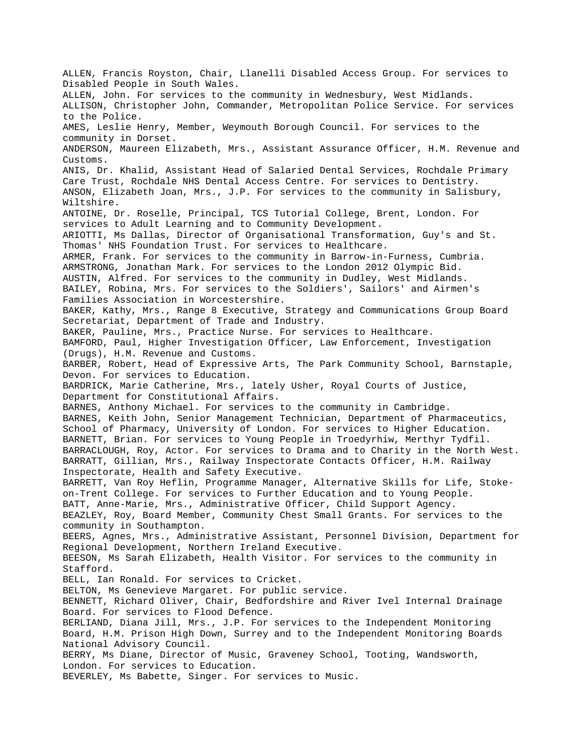ALLEN, Francis Royston, Chair, Llanelli Disabled Access Group. For services to Disabled People in South Wales. ALLEN, John. For services to the community in Wednesbury, West Midlands. ALLISON, Christopher John, Commander, Metropolitan Police Service. For services to the Police. AMES, Leslie Henry, Member, Weymouth Borough Council. For services to the community in Dorset. ANDERSON, Maureen Elizabeth, Mrs., Assistant Assurance Officer, H.M. Revenue and Customs. ANIS, Dr. Khalid, Assistant Head of Salaried Dental Services, Rochdale Primary Care Trust, Rochdale NHS Dental Access Centre. For services to Dentistry. ANSON, Elizabeth Joan, Mrs., J.P. For services to the community in Salisbury, Wiltshire. ANTOINE, Dr. Roselle, Principal, TCS Tutorial College, Brent, London. For services to Adult Learning and to Community Development. ARIOTTI, Ms Dallas, Director of Organisational Transformation, Guy's and St. Thomas' NHS Foundation Trust. For services to Healthcare. ARMER, Frank. For services to the community in Barrow-in-Furness, Cumbria. ARMSTRONG, Jonathan Mark. For services to the London 2012 Olympic Bid. AUSTIN, Alfred. For services to the community in Dudley, West Midlands. BAILEY, Robina, Mrs. For services to the Soldiers', Sailors' and Airmen's Families Association in Worcestershire. BAKER, Kathy, Mrs., Range 8 Executive, Strategy and Communications Group Board Secretariat, Department of Trade and Industry. BAKER, Pauline, Mrs., Practice Nurse. For services to Healthcare. BAMFORD, Paul, Higher Investigation Officer, Law Enforcement, Investigation (Drugs), H.M. Revenue and Customs. BARBER, Robert, Head of Expressive Arts, The Park Community School, Barnstaple, Devon. For services to Education. BARDRICK, Marie Catherine, Mrs., lately Usher, Royal Courts of Justice, Department for Constitutional Affairs. BARNES, Anthony Michael. For services to the community in Cambridge. BARNES, Keith John, Senior Management Technician, Department of Pharmaceutics, School of Pharmacy, University of London. For services to Higher Education. BARNETT, Brian. For services to Young People in Troedyrhiw, Merthyr Tydfil. BARRACLOUGH, Roy, Actor. For services to Drama and to Charity in the North West. BARRATT, Gillian, Mrs., Railway Inspectorate Contacts Officer, H.M. Railway Inspectorate, Health and Safety Executive. BARRETT, Van Roy Heflin, Programme Manager, Alternative Skills for Life, Stokeon-Trent College. For services to Further Education and to Young People. BATT, Anne-Marie, Mrs., Administrative Officer, Child Support Agency. BEAZLEY, Roy, Board Member, Community Chest Small Grants. For services to the community in Southampton. BEERS, Agnes, Mrs., Administrative Assistant, Personnel Division, Department for Regional Development, Northern Ireland Executive. BEESON, Ms Sarah Elizabeth, Health Visitor. For services to the community in Stafford. BELL, Ian Ronald. For services to Cricket. BELTON, Ms Genevieve Margaret. For public service. BENNETT, Richard Oliver, Chair, Bedfordshire and River Ivel Internal Drainage Board. For services to Flood Defence. BERLIAND, Diana Jill, Mrs., J.P. For services to the Independent Monitoring Board, H.M. Prison High Down, Surrey and to the Independent Monitoring Boards National Advisory Council. BERRY, Ms Diane, Director of Music, Graveney School, Tooting, Wandsworth, London. For services to Education. BEVERLEY, Ms Babette, Singer. For services to Music.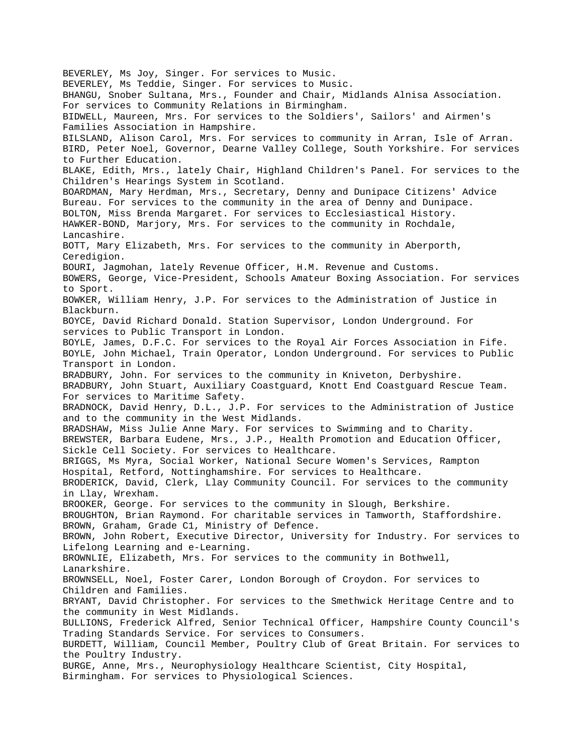BEVERLEY, Ms Joy, Singer. For services to Music. BEVERLEY, Ms Teddie, Singer. For services to Music. BHANGU, Snober Sultana, Mrs., Founder and Chair, Midlands Alnisa Association. For services to Community Relations in Birmingham. BIDWELL, Maureen, Mrs. For services to the Soldiers', Sailors' and Airmen's Families Association in Hampshire. BILSLAND, Alison Carol, Mrs. For services to community in Arran, Isle of Arran. BIRD, Peter Noel, Governor, Dearne Valley College, South Yorkshire. For services to Further Education. BLAKE, Edith, Mrs., lately Chair, Highland Children's Panel. For services to the Children's Hearings System in Scotland. BOARDMAN, Mary Herdman, Mrs., Secretary, Denny and Dunipace Citizens' Advice Bureau. For services to the community in the area of Denny and Dunipace. BOLTON, Miss Brenda Margaret. For services to Ecclesiastical History. HAWKER-BOND, Marjory, Mrs. For services to the community in Rochdale, Lancashire. BOTT, Mary Elizabeth, Mrs. For services to the community in Aberporth, Ceredigion. BOURI, Jagmohan, lately Revenue Officer, H.M. Revenue and Customs. BOWERS, George, Vice-President, Schools Amateur Boxing Association. For services to Sport. BOWKER, William Henry, J.P. For services to the Administration of Justice in Blackburn. BOYCE, David Richard Donald. Station Supervisor, London Underground. For services to Public Transport in London. BOYLE, James, D.F.C. For services to the Royal Air Forces Association in Fife. BOYLE, John Michael, Train Operator, London Underground. For services to Public Transport in London. BRADBURY, John. For services to the community in Kniveton, Derbyshire. BRADBURY, John Stuart, Auxiliary Coastguard, Knott End Coastguard Rescue Team. For services to Maritime Safety. BRADNOCK, David Henry, D.L., J.P. For services to the Administration of Justice and to the community in the West Midlands. BRADSHAW, Miss Julie Anne Mary. For services to Swimming and to Charity. BREWSTER, Barbara Eudene, Mrs., J.P., Health Promotion and Education Officer, Sickle Cell Society. For services to Healthcare. BRIGGS, Ms Myra, Social Worker, National Secure Women's Services, Rampton Hospital, Retford, Nottinghamshire. For services to Healthcare. BRODERICK, David, Clerk, Llay Community Council. For services to the community in Llay, Wrexham. BROOKER, George. For services to the community in Slough, Berkshire. BROUGHTON, Brian Raymond. For charitable services in Tamworth, Staffordshire. BROWN, Graham, Grade C1, Ministry of Defence. BROWN, John Robert, Executive Director, University for Industry. For services to Lifelong Learning and e-Learning. BROWNLIE, Elizabeth, Mrs. For services to the community in Bothwell, Lanarkshire. BROWNSELL, Noel, Foster Carer, London Borough of Croydon. For services to Children and Families. BRYANT, David Christopher. For services to the Smethwick Heritage Centre and to the community in West Midlands. BULLIONS, Frederick Alfred, Senior Technical Officer, Hampshire County Council's Trading Standards Service. For services to Consumers. BURDETT, William, Council Member, Poultry Club of Great Britain. For services to the Poultry Industry. BURGE, Anne, Mrs., Neurophysiology Healthcare Scientist, City Hospital, Birmingham. For services to Physiological Sciences.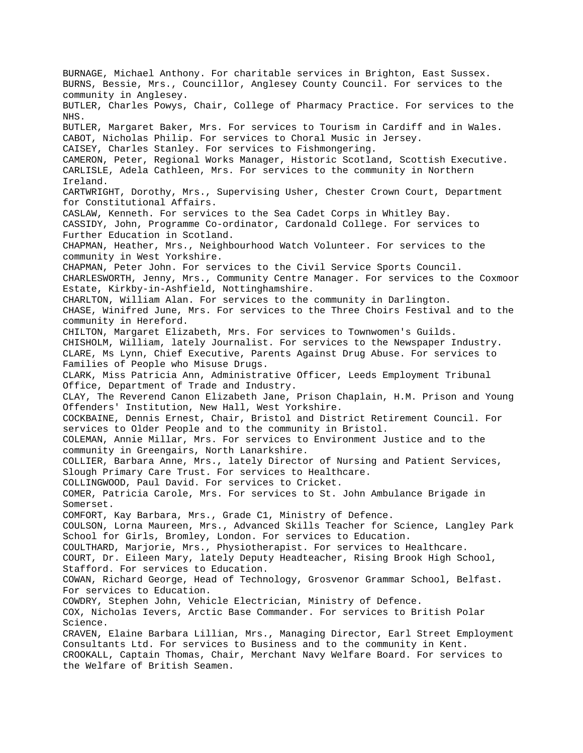BURNAGE, Michael Anthony. For charitable services in Brighton, East Sussex. BURNS, Bessie, Mrs., Councillor, Anglesey County Council. For services to the community in Anglesey. BUTLER, Charles Powys, Chair, College of Pharmacy Practice. For services to the NHS. BUTLER, Margaret Baker, Mrs. For services to Tourism in Cardiff and in Wales. CABOT, Nicholas Philip. For services to Choral Music in Jersey. CAISEY, Charles Stanley. For services to Fishmongering. CAMERON, Peter, Regional Works Manager, Historic Scotland, Scottish Executive. CARLISLE, Adela Cathleen, Mrs. For services to the community in Northern Ireland. CARTWRIGHT, Dorothy, Mrs., Supervising Usher, Chester Crown Court, Department for Constitutional Affairs. CASLAW, Kenneth. For services to the Sea Cadet Corps in Whitley Bay. CASSIDY, John, Programme Co-ordinator, Cardonald College. For services to Further Education in Scotland. CHAPMAN, Heather, Mrs., Neighbourhood Watch Volunteer. For services to the community in West Yorkshire. CHAPMAN, Peter John. For services to the Civil Service Sports Council. CHARLESWORTH, Jenny, Mrs., Community Centre Manager. For services to the Coxmoor Estate, Kirkby-in-Ashfield, Nottinghamshire. CHARLTON, William Alan. For services to the community in Darlington. CHASE, Winifred June, Mrs. For services to the Three Choirs Festival and to the community in Hereford. CHILTON, Margaret Elizabeth, Mrs. For services to Townwomen's Guilds. CHISHOLM, William, lately Journalist. For services to the Newspaper Industry. CLARE, Ms Lynn, Chief Executive, Parents Against Drug Abuse. For services to Families of People who Misuse Drugs. CLARK, Miss Patricia Ann, Administrative Officer, Leeds Employment Tribunal Office, Department of Trade and Industry. CLAY, The Reverend Canon Elizabeth Jane, Prison Chaplain, H.M. Prison and Young Offenders' Institution, New Hall, West Yorkshire. COCKBAINE, Dennis Ernest, Chair, Bristol and District Retirement Council. For services to Older People and to the community in Bristol. COLEMAN, Annie Millar, Mrs. For services to Environment Justice and to the community in Greengairs, North Lanarkshire. COLLIER, Barbara Anne, Mrs., lately Director of Nursing and Patient Services, Slough Primary Care Trust. For services to Healthcare. COLLINGWOOD, Paul David. For services to Cricket. COMER, Patricia Carole, Mrs. For services to St. John Ambulance Brigade in Somerset. COMFORT, Kay Barbara, Mrs., Grade C1, Ministry of Defence. COULSON, Lorna Maureen, Mrs., Advanced Skills Teacher for Science, Langley Park School for Girls, Bromley, London. For services to Education. COULTHARD, Marjorie, Mrs., Physiotherapist. For services to Healthcare. COURT, Dr. Eileen Mary, lately Deputy Headteacher, Rising Brook High School, Stafford. For services to Education. COWAN, Richard George, Head of Technology, Grosvenor Grammar School, Belfast. For services to Education. COWDRY, Stephen John, Vehicle Electrician, Ministry of Defence. COX, Nicholas Ievers, Arctic Base Commander. For services to British Polar Science. CRAVEN, Elaine Barbara Lillian, Mrs., Managing Director, Earl Street Employment Consultants Ltd. For services to Business and to the community in Kent. CROOKALL, Captain Thomas, Chair, Merchant Navy Welfare Board. For services to the Welfare of British Seamen.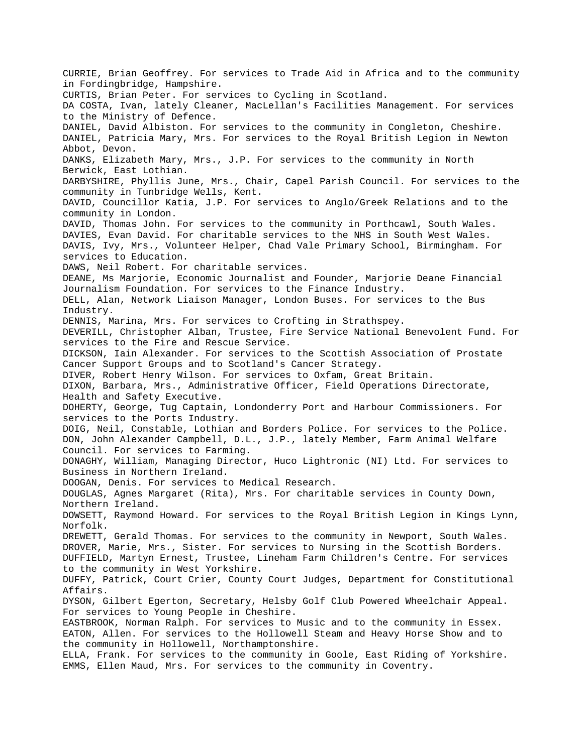CURRIE, Brian Geoffrey. For services to Trade Aid in Africa and to the community in Fordingbridge, Hampshire. CURTIS, Brian Peter. For services to Cycling in Scotland. DA COSTA, Ivan, lately Cleaner, MacLellan's Facilities Management. For services to the Ministry of Defence. DANIEL, David Albiston. For services to the community in Congleton, Cheshire. DANIEL, Patricia Mary, Mrs. For services to the Royal British Legion in Newton Abbot, Devon. DANKS, Elizabeth Mary, Mrs., J.P. For services to the community in North Berwick, East Lothian. DARBYSHIRE, Phyllis June, Mrs., Chair, Capel Parish Council. For services to the community in Tunbridge Wells, Kent. DAVID, Councillor Katia, J.P. For services to Anglo/Greek Relations and to the community in London. DAVID, Thomas John. For services to the community in Porthcawl, South Wales. DAVIES, Evan David. For charitable services to the NHS in South West Wales. DAVIS, Ivy, Mrs., Volunteer Helper, Chad Vale Primary School, Birmingham. For services to Education. DAWS, Neil Robert. For charitable services. DEANE, Ms Marjorie, Economic Journalist and Founder, Marjorie Deane Financial Journalism Foundation. For services to the Finance Industry. DELL, Alan, Network Liaison Manager, London Buses. For services to the Bus Industry. DENNIS, Marina, Mrs. For services to Crofting in Strathspey. DEVERILL, Christopher Alban, Trustee, Fire Service National Benevolent Fund. For services to the Fire and Rescue Service. DICKSON, Iain Alexander. For services to the Scottish Association of Prostate Cancer Support Groups and to Scotland's Cancer Strategy. DIVER, Robert Henry Wilson. For services to Oxfam, Great Britain. DIXON, Barbara, Mrs., Administrative Officer, Field Operations Directorate, Health and Safety Executive. DOHERTY, George, Tug Captain, Londonderry Port and Harbour Commissioners. For services to the Ports Industry. DOIG, Neil, Constable, Lothian and Borders Police. For services to the Police. DON, John Alexander Campbell, D.L., J.P., lately Member, Farm Animal Welfare Council. For services to Farming. DONAGHY, William, Managing Director, Huco Lightronic (NI) Ltd. For services to Business in Northern Ireland. DOOGAN, Denis. For services to Medical Research. DOUGLAS, Agnes Margaret (Rita), Mrs. For charitable services in County Down, Northern Ireland. DOWSETT, Raymond Howard. For services to the Royal British Legion in Kings Lynn, Norfolk. DREWETT, Gerald Thomas. For services to the community in Newport, South Wales. DROVER, Marie, Mrs., Sister. For services to Nursing in the Scottish Borders. DUFFIELD, Martyn Ernest, Trustee, Lineham Farm Children's Centre. For services to the community in West Yorkshire. DUFFY, Patrick, Court Crier, County Court Judges, Department for Constitutional Affairs. DYSON, Gilbert Egerton, Secretary, Helsby Golf Club Powered Wheelchair Appeal. For services to Young People in Cheshire. EASTBROOK, Norman Ralph. For services to Music and to the community in Essex. EATON, Allen. For services to the Hollowell Steam and Heavy Horse Show and to the community in Hollowell, Northamptonshire. ELLA, Frank. For services to the community in Goole, East Riding of Yorkshire. EMMS, Ellen Maud, Mrs. For services to the community in Coventry.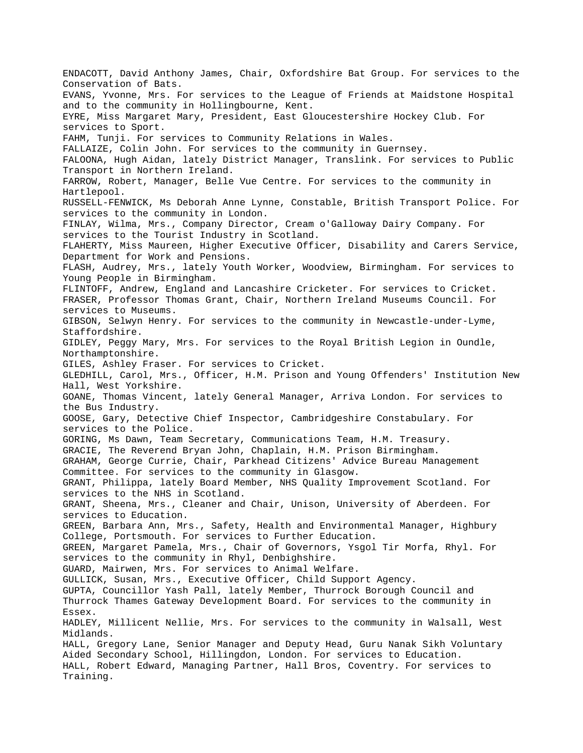ENDACOTT, David Anthony James, Chair, Oxfordshire Bat Group. For services to the Conservation of Bats. EVANS, Yvonne, Mrs. For services to the League of Friends at Maidstone Hospital and to the community in Hollingbourne, Kent. EYRE, Miss Margaret Mary, President, East Gloucestershire Hockey Club. For services to Sport. FAHM, Tunji. For services to Community Relations in Wales. FALLAIZE, Colin John. For services to the community in Guernsey. FALOONA, Hugh Aidan, lately District Manager, Translink. For services to Public Transport in Northern Ireland. FARROW, Robert, Manager, Belle Vue Centre. For services to the community in Hartlepool. RUSSELL-FENWICK, Ms Deborah Anne Lynne, Constable, British Transport Police. For services to the community in London. FINLAY, Wilma, Mrs., Company Director, Cream o'Galloway Dairy Company. For services to the Tourist Industry in Scotland. FLAHERTY, Miss Maureen, Higher Executive Officer, Disability and Carers Service, Department for Work and Pensions. FLASH, Audrey, Mrs., lately Youth Worker, Woodview, Birmingham. For services to Young People in Birmingham. FLINTOFF, Andrew, England and Lancashire Cricketer. For services to Cricket. FRASER, Professor Thomas Grant, Chair, Northern Ireland Museums Council. For services to Museums. GIBSON, Selwyn Henry. For services to the community in Newcastle-under-Lyme, Staffordshire. GIDLEY, Peggy Mary, Mrs. For services to the Royal British Legion in Oundle, Northamptonshire. GILES, Ashley Fraser. For services to Cricket. GLEDHILL, Carol, Mrs., Officer, H.M. Prison and Young Offenders' Institution New Hall, West Yorkshire. GOANE, Thomas Vincent, lately General Manager, Arriva London. For services to the Bus Industry. GOOSE, Gary, Detective Chief Inspector, Cambridgeshire Constabulary. For services to the Police. GORING, Ms Dawn, Team Secretary, Communications Team, H.M. Treasury. GRACIE, The Reverend Bryan John, Chaplain, H.M. Prison Birmingham. GRAHAM, George Currie, Chair, Parkhead Citizens' Advice Bureau Management Committee. For services to the community in Glasgow. GRANT, Philippa, lately Board Member, NHS Quality Improvement Scotland. For services to the NHS in Scotland. GRANT, Sheena, Mrs., Cleaner and Chair, Unison, University of Aberdeen. For services to Education. GREEN, Barbara Ann, Mrs., Safety, Health and Environmental Manager, Highbury College, Portsmouth. For services to Further Education. GREEN, Margaret Pamela, Mrs., Chair of Governors, Ysgol Tir Morfa, Rhyl. For services to the community in Rhyl, Denbighshire. GUARD, Mairwen, Mrs. For services to Animal Welfare. GULLICK, Susan, Mrs., Executive Officer, Child Support Agency. GUPTA, Councillor Yash Pall, lately Member, Thurrock Borough Council and Thurrock Thames Gateway Development Board. For services to the community in Essex. HADLEY, Millicent Nellie, Mrs. For services to the community in Walsall, West Midlands. HALL, Gregory Lane, Senior Manager and Deputy Head, Guru Nanak Sikh Voluntary Aided Secondary School, Hillingdon, London. For services to Education. HALL, Robert Edward, Managing Partner, Hall Bros, Coventry. For services to Training.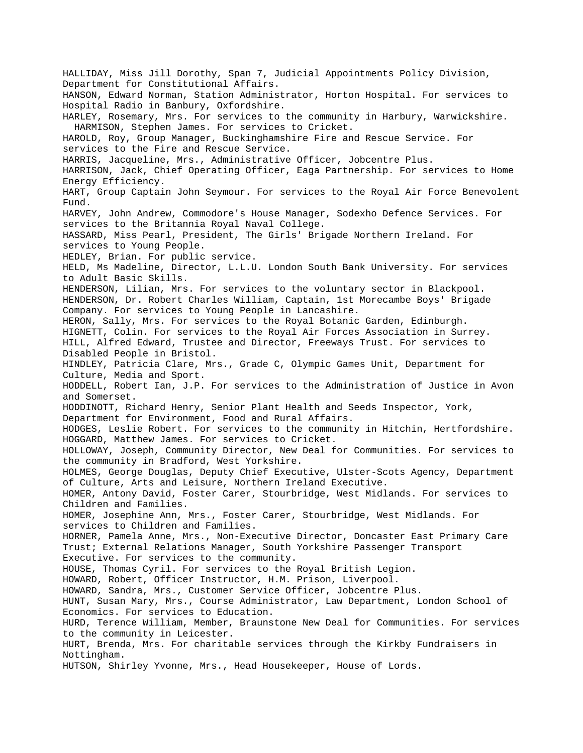HALLIDAY, Miss Jill Dorothy, Span 7, Judicial Appointments Policy Division, Department for Constitutional Affairs. HANSON, Edward Norman, Station Administrator, Horton Hospital. For services to Hospital Radio in Banbury, Oxfordshire. HARLEY, Rosemary, Mrs. For services to the community in Harbury, Warwickshire. HARMISON, Stephen James. For services to Cricket. HAROLD, Roy, Group Manager, Buckinghamshire Fire and Rescue Service. For services to the Fire and Rescue Service. HARRIS, Jacqueline, Mrs., Administrative Officer, Jobcentre Plus. HARRISON, Jack, Chief Operating Officer, Eaga Partnership. For services to Home Energy Efficiency. HART, Group Captain John Seymour. For services to the Royal Air Force Benevolent Fund. HARVEY, John Andrew, Commodore's House Manager, Sodexho Defence Services. For services to the Britannia Royal Naval College. HASSARD, Miss Pearl, President, The Girls' Brigade Northern Ireland. For services to Young People. HEDLEY, Brian. For public service. HELD, Ms Madeline, Director, L.L.U. London South Bank University. For services to Adult Basic Skills. HENDERSON, Lilian, Mrs. For services to the voluntary sector in Blackpool. HENDERSON, Dr. Robert Charles William, Captain, 1st Morecambe Boys' Brigade Company. For services to Young People in Lancashire. HERON, Sally, Mrs. For services to the Royal Botanic Garden, Edinburgh. HIGNETT, Colin. For services to the Royal Air Forces Association in Surrey. HILL, Alfred Edward, Trustee and Director, Freeways Trust. For services to Disabled People in Bristol. HINDLEY, Patricia Clare, Mrs., Grade C, Olympic Games Unit, Department for Culture, Media and Sport. HODDELL, Robert Ian, J.P. For services to the Administration of Justice in Avon and Somerset. HODDINOTT, Richard Henry, Senior Plant Health and Seeds Inspector, York, Department for Environment, Food and Rural Affairs. HODGES, Leslie Robert. For services to the community in Hitchin, Hertfordshire. HOGGARD, Matthew James. For services to Cricket. HOLLOWAY, Joseph, Community Director, New Deal for Communities. For services to the community in Bradford, West Yorkshire. HOLMES, George Douglas, Deputy Chief Executive, Ulster-Scots Agency, Department of Culture, Arts and Leisure, Northern Ireland Executive. HOMER, Antony David, Foster Carer, Stourbridge, West Midlands. For services to Children and Families. HOMER, Josephine Ann, Mrs., Foster Carer, Stourbridge, West Midlands. For services to Children and Families. HORNER, Pamela Anne, Mrs., Non-Executive Director, Doncaster East Primary Care Trust; External Relations Manager, South Yorkshire Passenger Transport Executive. For services to the community. HOUSE, Thomas Cyril. For services to the Royal British Legion. HOWARD, Robert, Officer Instructor, H.M. Prison, Liverpool. HOWARD, Sandra, Mrs., Customer Service Officer, Jobcentre Plus. HUNT, Susan Mary, Mrs., Course Administrator, Law Department, London School of Economics. For services to Education. HURD, Terence William, Member, Braunstone New Deal for Communities. For services to the community in Leicester. HURT, Brenda, Mrs. For charitable services through the Kirkby Fundraisers in Nottingham. HUTSON, Shirley Yvonne, Mrs., Head Housekeeper, House of Lords.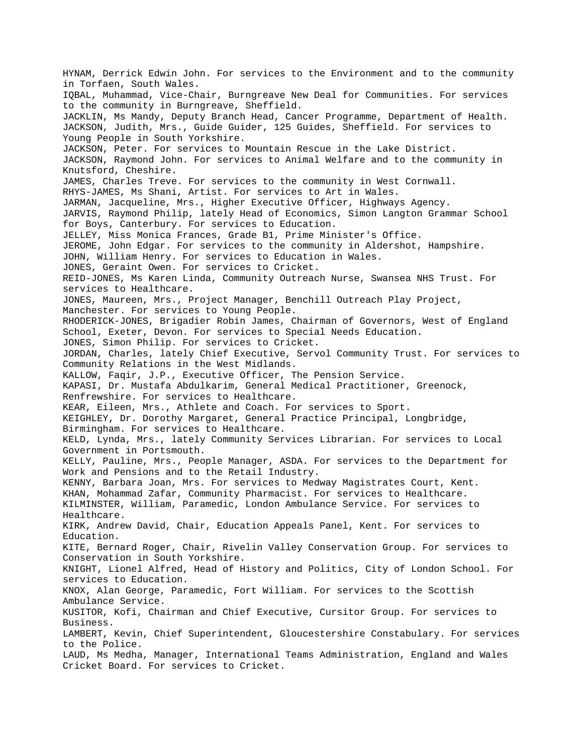HYNAM, Derrick Edwin John. For services to the Environment and to the community in Torfaen, South Wales. IQBAL, Muhammad, Vice-Chair, Burngreave New Deal for Communities. For services to the community in Burngreave, Sheffield. JACKLIN, Ms Mandy, Deputy Branch Head, Cancer Programme, Department of Health. JACKSON, Judith, Mrs., Guide Guider, 125 Guides, Sheffield. For services to Young People in South Yorkshire. JACKSON, Peter. For services to Mountain Rescue in the Lake District. JACKSON, Raymond John. For services to Animal Welfare and to the community in Knutsford, Cheshire. JAMES, Charles Treve. For services to the community in West Cornwall. RHYS-JAMES, Ms Shani, Artist. For services to Art in Wales. JARMAN, Jacqueline, Mrs., Higher Executive Officer, Highways Agency. JARVIS, Raymond Philip, lately Head of Economics, Simon Langton Grammar School for Boys, Canterbury. For services to Education. JELLEY, Miss Monica Frances, Grade B1, Prime Minister's Office. JEROME, John Edgar. For services to the community in Aldershot, Hampshire. JOHN, William Henry. For services to Education in Wales. JONES, Geraint Owen. For services to Cricket. REID-JONES, Ms Karen Linda, Community Outreach Nurse, Swansea NHS Trust. For services to Healthcare. JONES, Maureen, Mrs., Project Manager, Benchill Outreach Play Project, Manchester. For services to Young People. RHODERICK-JONES, Brigadier Robin James, Chairman of Governors, West of England School, Exeter, Devon. For services to Special Needs Education. JONES, Simon Philip. For services to Cricket. JORDAN, Charles, lately Chief Executive, Servol Community Trust. For services to Community Relations in the West Midlands. KALLOW, Faqir, J.P., Executive Officer, The Pension Service. KAPASI, Dr. Mustafa Abdulkarim, General Medical Practitioner, Greenock, Renfrewshire. For services to Healthcare. KEAR, Eileen, Mrs., Athlete and Coach. For services to Sport. KEIGHLEY, Dr. Dorothy Margaret, General Practice Principal, Longbridge, Birmingham. For services to Healthcare. KELD, Lynda, Mrs., lately Community Services Librarian. For services to Local Government in Portsmouth. KELLY, Pauline, Mrs., People Manager, ASDA. For services to the Department for Work and Pensions and to the Retail Industry. KENNY, Barbara Joan, Mrs. For services to Medway Magistrates Court, Kent. KHAN, Mohammad Zafar, Community Pharmacist. For services to Healthcare. KILMINSTER, William, Paramedic, London Ambulance Service. For services to Healthcare. KIRK, Andrew David, Chair, Education Appeals Panel, Kent. For services to Education. KITE, Bernard Roger, Chair, Rivelin Valley Conservation Group. For services to Conservation in South Yorkshire. KNIGHT, Lionel Alfred, Head of History and Politics, City of London School. For services to Education. KNOX, Alan George, Paramedic, Fort William. For services to the Scottish Ambulance Service. KUSITOR, Kofi, Chairman and Chief Executive, Cursitor Group. For services to Business. LAMBERT, Kevin, Chief Superintendent, Gloucestershire Constabulary. For services to the Police. LAUD, Ms Medha, Manager, International Teams Administration, England and Wales Cricket Board. For services to Cricket.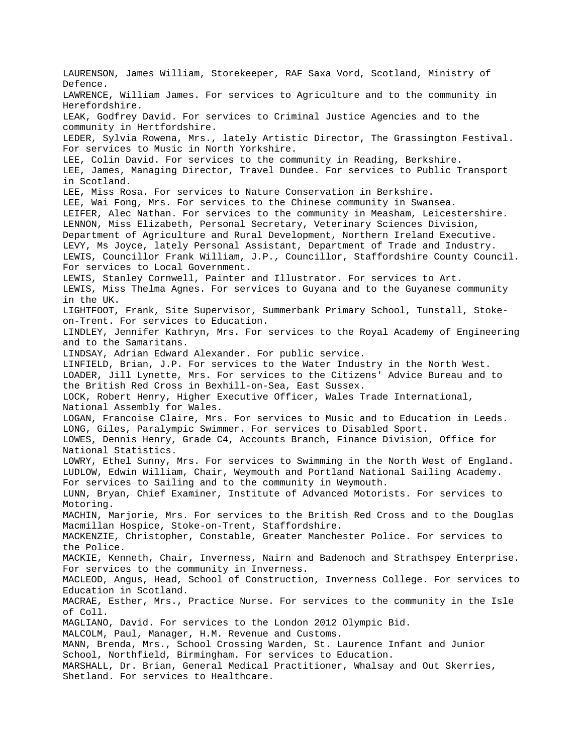LAURENSON, James William, Storekeeper, RAF Saxa Vord, Scotland, Ministry of Defence. LAWRENCE, William James. For services to Agriculture and to the community in Herefordshire. LEAK, Godfrey David. For services to Criminal Justice Agencies and to the community in Hertfordshire. LEDER, Sylvia Rowena, Mrs., lately Artistic Director, The Grassington Festival. For services to Music in North Yorkshire. LEE, Colin David. For services to the community in Reading, Berkshire. LEE, James, Managing Director, Travel Dundee. For services to Public Transport in Scotland. LEE, Miss Rosa. For services to Nature Conservation in Berkshire. LEE, Wai Fong, Mrs. For services to the Chinese community in Swansea. LEIFER, Alec Nathan. For services to the community in Measham, Leicestershire. LENNON, Miss Elizabeth, Personal Secretary, Veterinary Sciences Division, Department of Agriculture and Rural Development, Northern Ireland Executive. LEVY, Ms Joyce, lately Personal Assistant, Department of Trade and Industry. LEWIS, Councillor Frank William, J.P., Councillor, Staffordshire County Council. For services to Local Government. LEWIS, Stanley Cornwell, Painter and Illustrator. For services to Art. LEWIS, Miss Thelma Agnes. For services to Guyana and to the Guyanese community in the UK. LIGHTFOOT, Frank, Site Supervisor, Summerbank Primary School, Tunstall, Stokeon-Trent. For services to Education. LINDLEY, Jennifer Kathryn, Mrs. For services to the Royal Academy of Engineering and to the Samaritans. LINDSAY, Adrian Edward Alexander. For public service. LINFIELD, Brian, J.P. For services to the Water Industry in the North West. LOADER, Jill Lynette, Mrs. For services to the Citizens' Advice Bureau and to the British Red Cross in Bexhill-on-Sea, East Sussex. LOCK, Robert Henry, Higher Executive Officer, Wales Trade International, National Assembly for Wales. LOGAN, Francoise Claire, Mrs. For services to Music and to Education in Leeds. LONG, Giles, Paralympic Swimmer. For services to Disabled Sport. LOWES, Dennis Henry, Grade C4, Accounts Branch, Finance Division, Office for National Statistics. LOWRY, Ethel Sunny, Mrs. For services to Swimming in the North West of England. LUDLOW, Edwin William, Chair, Weymouth and Portland National Sailing Academy. For services to Sailing and to the community in Weymouth. LUNN, Bryan, Chief Examiner, Institute of Advanced Motorists. For services to Motoring. MACHIN, Marjorie, Mrs. For services to the British Red Cross and to the Douglas Macmillan Hospice, Stoke-on-Trent, Staffordshire. MACKENZIE, Christopher, Constable, Greater Manchester Police. For services to the Police. MACKIE, Kenneth, Chair, Inverness, Nairn and Badenoch and Strathspey Enterprise. For services to the community in Inverness. MACLEOD, Angus, Head, School of Construction, Inverness College. For services to Education in Scotland. MACRAE, Esther, Mrs., Practice Nurse. For services to the community in the Isle of Coll. MAGLIANO, David. For services to the London 2012 Olympic Bid. MALCOLM, Paul, Manager, H.M. Revenue and Customs. MANN, Brenda, Mrs., School Crossing Warden, St. Laurence Infant and Junior School, Northfield, Birmingham. For services to Education. MARSHALL, Dr. Brian, General Medical Practitioner, Whalsay and Out Skerries, Shetland. For services to Healthcare.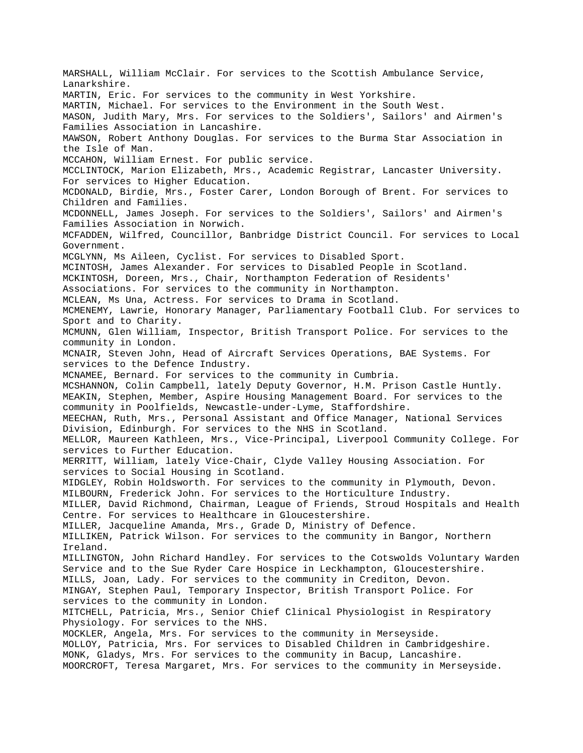MARSHALL, William McClair. For services to the Scottish Ambulance Service, Lanarkshire. MARTIN, Eric. For services to the community in West Yorkshire. MARTIN, Michael. For services to the Environment in the South West. MASON, Judith Mary, Mrs. For services to the Soldiers', Sailors' and Airmen's Families Association in Lancashire. MAWSON, Robert Anthony Douglas. For services to the Burma Star Association in the Isle of Man. MCCAHON, William Ernest. For public service. MCCLINTOCK, Marion Elizabeth, Mrs., Academic Registrar, Lancaster University. For services to Higher Education. MCDONALD, Birdie, Mrs., Foster Carer, London Borough of Brent. For services to Children and Families. MCDONNELL, James Joseph. For services to the Soldiers', Sailors' and Airmen's Families Association in Norwich. MCFADDEN, Wilfred, Councillor, Banbridge District Council. For services to Local Government. MCGLYNN, Ms Aileen, Cyclist. For services to Disabled Sport. MCINTOSH, James Alexander. For services to Disabled People in Scotland. MCKINTOSH, Doreen, Mrs., Chair, Northampton Federation of Residents' Associations. For services to the community in Northampton. MCLEAN, Ms Una, Actress. For services to Drama in Scotland. MCMENEMY, Lawrie, Honorary Manager, Parliamentary Football Club. For services to Sport and to Charity. MCMUNN, Glen William, Inspector, British Transport Police. For services to the community in London. MCNAIR, Steven John, Head of Aircraft Services Operations, BAE Systems. For services to the Defence Industry. MCNAMEE, Bernard. For services to the community in Cumbria. MCSHANNON, Colin Campbell, lately Deputy Governor, H.M. Prison Castle Huntly. MEAKIN, Stephen, Member, Aspire Housing Management Board. For services to the community in Poolfields, Newcastle-under-Lyme, Staffordshire. MEECHAN, Ruth, Mrs., Personal Assistant and Office Manager, National Services Division, Edinburgh. For services to the NHS in Scotland. MELLOR, Maureen Kathleen, Mrs., Vice-Principal, Liverpool Community College. For services to Further Education. MERRITT, William, lately Vice-Chair, Clyde Valley Housing Association. For services to Social Housing in Scotland. MIDGLEY, Robin Holdsworth. For services to the community in Plymouth, Devon. MILBOURN, Frederick John. For services to the Horticulture Industry. MILLER, David Richmond, Chairman, League of Friends, Stroud Hospitals and Health Centre. For services to Healthcare in Gloucestershire. MILLER, Jacqueline Amanda, Mrs., Grade D, Ministry of Defence. MILLIKEN, Patrick Wilson. For services to the community in Bangor, Northern Ireland. MILLINGTON, John Richard Handley. For services to the Cotswolds Voluntary Warden Service and to the Sue Ryder Care Hospice in Leckhampton, Gloucestershire. MILLS, Joan, Lady. For services to the community in Crediton, Devon. MINGAY, Stephen Paul, Temporary Inspector, British Transport Police. For services to the community in London. MITCHELL, Patricia, Mrs., Senior Chief Clinical Physiologist in Respiratory Physiology. For services to the NHS. MOCKLER, Angela, Mrs. For services to the community in Merseyside. MOLLOY, Patricia, Mrs. For services to Disabled Children in Cambridgeshire. MONK, Gladys, Mrs. For services to the community in Bacup, Lancashire. MOORCROFT, Teresa Margaret, Mrs. For services to the community in Merseyside.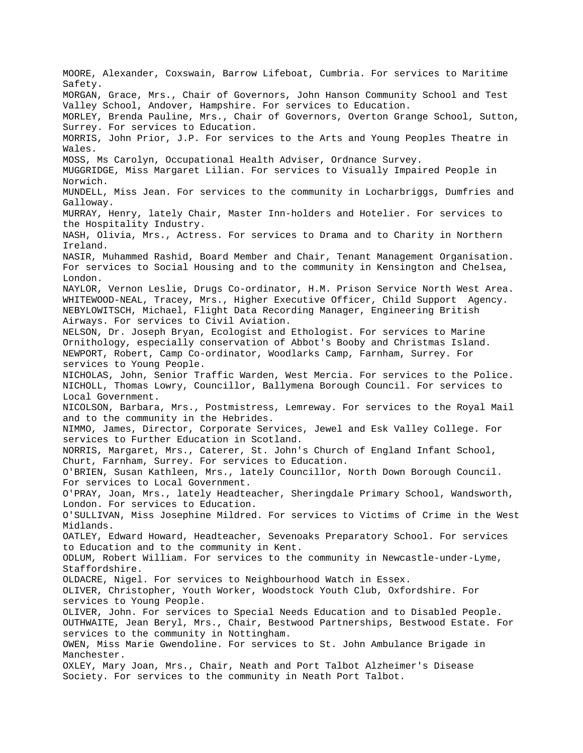MOORE, Alexander, Coxswain, Barrow Lifeboat, Cumbria. For services to Maritime Safety. MORGAN, Grace, Mrs., Chair of Governors, John Hanson Community School and Test Valley School, Andover, Hampshire. For services to Education. MORLEY, Brenda Pauline, Mrs., Chair of Governors, Overton Grange School, Sutton, Surrey. For services to Education. MORRIS, John Prior, J.P. For services to the Arts and Young Peoples Theatre in Wales. MOSS, Ms Carolyn, Occupational Health Adviser, Ordnance Survey. MUGGRIDGE, Miss Margaret Lilian. For services to Visually Impaired People in Norwich. MUNDELL, Miss Jean. For services to the community in Locharbriggs, Dumfries and Galloway. MURRAY, Henry, lately Chair, Master Inn-holders and Hotelier. For services to the Hospitality Industry. NASH, Olivia, Mrs., Actress. For services to Drama and to Charity in Northern Ireland. NASIR, Muhammed Rashid, Board Member and Chair, Tenant Management Organisation. For services to Social Housing and to the community in Kensington and Chelsea, London. NAYLOR, Vernon Leslie, Drugs Co-ordinator, H.M. Prison Service North West Area. WHITEWOOD-NEAL, Tracey, Mrs., Higher Executive Officer, Child Support Agency. NEBYLOWITSCH, Michael, Flight Data Recording Manager, Engineering British Airways. For services to Civil Aviation. NELSON, Dr. Joseph Bryan, Ecologist and Ethologist. For services to Marine Ornithology, especially conservation of Abbot's Booby and Christmas Island. NEWPORT, Robert, Camp Co-ordinator, Woodlarks Camp, Farnham, Surrey. For services to Young People. NICHOLAS, John, Senior Traffic Warden, West Mercia. For services to the Police. NICHOLL, Thomas Lowry, Councillor, Ballymena Borough Council. For services to Local Government. NICOLSON, Barbara, Mrs., Postmistress, Lemreway. For services to the Royal Mail and to the community in the Hebrides. NIMMO, James, Director, Corporate Services, Jewel and Esk Valley College. For services to Further Education in Scotland. NORRIS, Margaret, Mrs., Caterer, St. John's Church of England Infant School, Churt, Farnham, Surrey. For services to Education. O'BRIEN, Susan Kathleen, Mrs., lately Councillor, North Down Borough Council. For services to Local Government. O'PRAY, Joan, Mrs., lately Headteacher, Sheringdale Primary School, Wandsworth, London. For services to Education. O'SULLIVAN, Miss Josephine Mildred. For services to Victims of Crime in the West Midlands. OATLEY, Edward Howard, Headteacher, Sevenoaks Preparatory School. For services to Education and to the community in Kent. ODLUM, Robert William. For services to the community in Newcastle-under-Lyme, Staffordshire. OLDACRE, Nigel. For services to Neighbourhood Watch in Essex. OLIVER, Christopher, Youth Worker, Woodstock Youth Club, Oxfordshire. For services to Young People. OLIVER, John. For services to Special Needs Education and to Disabled People. OUTHWAITE, Jean Beryl, Mrs., Chair, Bestwood Partnerships, Bestwood Estate. For services to the community in Nottingham. OWEN, Miss Marie Gwendoline. For services to St. John Ambulance Brigade in Manchester. OXLEY, Mary Joan, Mrs., Chair, Neath and Port Talbot Alzheimer's Disease Society. For services to the community in Neath Port Talbot.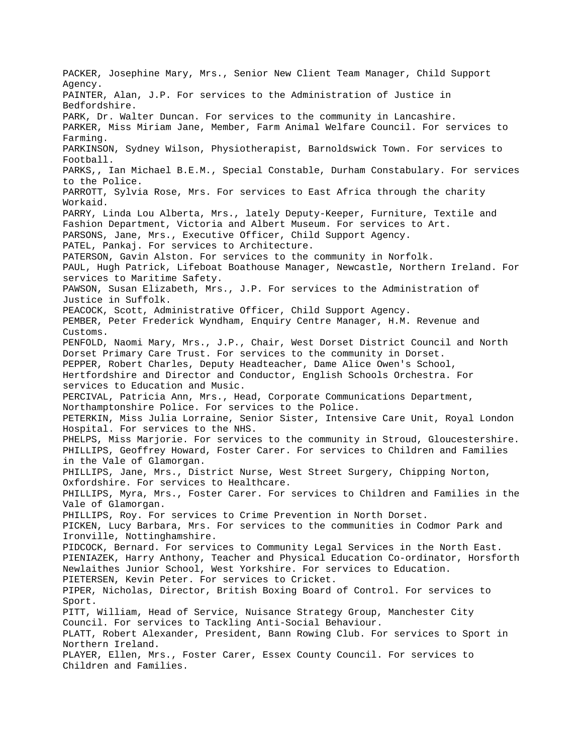PACKER, Josephine Mary, Mrs., Senior New Client Team Manager, Child Support Agency. PAINTER, Alan, J.P. For services to the Administration of Justice in Bedfordshire. PARK, Dr. Walter Duncan. For services to the community in Lancashire. PARKER, Miss Miriam Jane, Member, Farm Animal Welfare Council. For services to Farming. PARKINSON, Sydney Wilson, Physiotherapist, Barnoldswick Town. For services to Football. PARKS,, Ian Michael B.E.M., Special Constable, Durham Constabulary. For services to the Police. PARROTT, Sylvia Rose, Mrs. For services to East Africa through the charity Workaid. PARRY, Linda Lou Alberta, Mrs., lately Deputy-Keeper, Furniture, Textile and Fashion Department, Victoria and Albert Museum. For services to Art. PARSONS, Jane, Mrs., Executive Officer, Child Support Agency. PATEL, Pankaj. For services to Architecture. PATERSON, Gavin Alston. For services to the community in Norfolk. PAUL, Hugh Patrick, Lifeboat Boathouse Manager, Newcastle, Northern Ireland. For services to Maritime Safety. PAWSON, Susan Elizabeth, Mrs., J.P. For services to the Administration of Justice in Suffolk. PEACOCK, Scott, Administrative Officer, Child Support Agency. PEMBER, Peter Frederick Wyndham, Enquiry Centre Manager, H.M. Revenue and Customs. PENFOLD, Naomi Mary, Mrs., J.P., Chair, West Dorset District Council and North Dorset Primary Care Trust. For services to the community in Dorset. PEPPER, Robert Charles, Deputy Headteacher, Dame Alice Owen's School, Hertfordshire and Director and Conductor, English Schools Orchestra. For services to Education and Music. PERCIVAL, Patricia Ann, Mrs., Head, Corporate Communications Department, Northamptonshire Police. For services to the Police. PETERKIN, Miss Julia Lorraine, Senior Sister, Intensive Care Unit, Royal London Hospital. For services to the NHS. PHELPS, Miss Marjorie. For services to the community in Stroud, Gloucestershire. PHILLIPS, Geoffrey Howard, Foster Carer. For services to Children and Families in the Vale of Glamorgan. PHILLIPS, Jane, Mrs., District Nurse, West Street Surgery, Chipping Norton, Oxfordshire. For services to Healthcare. PHILLIPS, Myra, Mrs., Foster Carer. For services to Children and Families in the Vale of Glamorgan. PHILLIPS, Roy. For services to Crime Prevention in North Dorset. PICKEN, Lucy Barbara, Mrs. For services to the communities in Codmor Park and Ironville, Nottinghamshire. PIDCOCK, Bernard. For services to Community Legal Services in the North East. PIENIAZEK, Harry Anthony, Teacher and Physical Education Co-ordinator, Horsforth Newlaithes Junior School, West Yorkshire. For services to Education. PIETERSEN, Kevin Peter. For services to Cricket. PIPER, Nicholas, Director, British Boxing Board of Control. For services to Sport. PITT, William, Head of Service, Nuisance Strategy Group, Manchester City Council. For services to Tackling Anti-Social Behaviour. PLATT, Robert Alexander, President, Bann Rowing Club. For services to Sport in Northern Ireland. PLAYER, Ellen, Mrs., Foster Carer, Essex County Council. For services to Children and Families.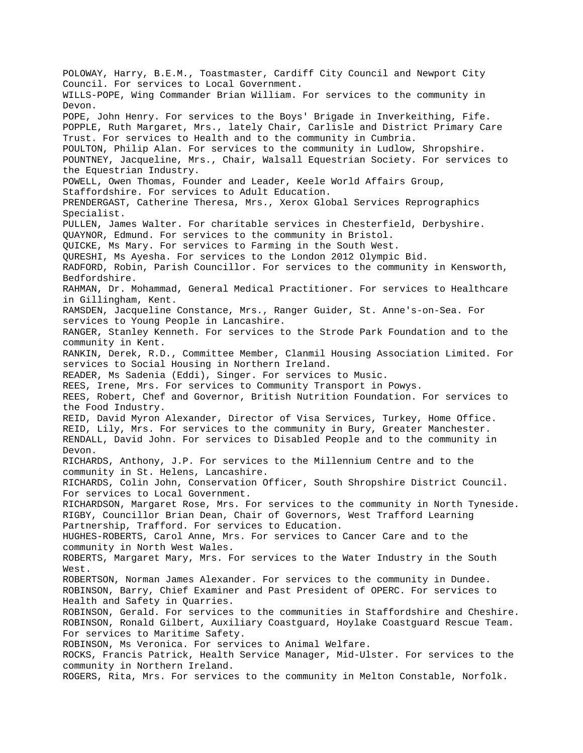POLOWAY, Harry, B.E.M., Toastmaster, Cardiff City Council and Newport City Council. For services to Local Government. WILLS-POPE, Wing Commander Brian William. For services to the community in Devon. POPE, John Henry. For services to the Boys' Brigade in Inverkeithing, Fife. POPPLE, Ruth Margaret, Mrs., lately Chair, Carlisle and District Primary Care Trust. For services to Health and to the community in Cumbria. POULTON, Philip Alan. For services to the community in Ludlow, Shropshire. POUNTNEY, Jacqueline, Mrs., Chair, Walsall Equestrian Society. For services to the Equestrian Industry. POWELL, Owen Thomas, Founder and Leader, Keele World Affairs Group, Staffordshire. For services to Adult Education. PRENDERGAST, Catherine Theresa, Mrs., Xerox Global Services Reprographics Specialist. PULLEN, James Walter. For charitable services in Chesterfield, Derbyshire. QUAYNOR, Edmund. For services to the community in Bristol. QUICKE, Ms Mary. For services to Farming in the South West. QURESHI, Ms Ayesha. For services to the London 2012 Olympic Bid. RADFORD, Robin, Parish Councillor. For services to the community in Kensworth, Bedfordshire. RAHMAN, Dr. Mohammad, General Medical Practitioner. For services to Healthcare in Gillingham, Kent. RAMSDEN, Jacqueline Constance, Mrs., Ranger Guider, St. Anne's-on-Sea. For services to Young People in Lancashire. RANGER, Stanley Kenneth. For services to the Strode Park Foundation and to the community in Kent. RANKIN, Derek, R.D., Committee Member, Clanmil Housing Association Limited. For services to Social Housing in Northern Ireland. READER, Ms Sadenia (Eddi), Singer. For services to Music. REES, Irene, Mrs. For services to Community Transport in Powys. REES, Robert, Chef and Governor, British Nutrition Foundation. For services to the Food Industry. REID, David Myron Alexander, Director of Visa Services, Turkey, Home Office. REID, Lily, Mrs. For services to the community in Bury, Greater Manchester. RENDALL, David John. For services to Disabled People and to the community in Devon. RICHARDS, Anthony, J.P. For services to the Millennium Centre and to the community in St. Helens, Lancashire. RICHARDS, Colin John, Conservation Officer, South Shropshire District Council. For services to Local Government. RICHARDSON, Margaret Rose, Mrs. For services to the community in North Tyneside. RIGBY, Councillor Brian Dean, Chair of Governors, West Trafford Learning Partnership, Trafford. For services to Education. HUGHES-ROBERTS, Carol Anne, Mrs. For services to Cancer Care and to the community in North West Wales. ROBERTS, Margaret Mary, Mrs. For services to the Water Industry in the South West. ROBERTSON, Norman James Alexander. For services to the community in Dundee. ROBINSON, Barry, Chief Examiner and Past President of OPERC. For services to Health and Safety in Quarries. ROBINSON, Gerald. For services to the communities in Staffordshire and Cheshire. ROBINSON, Ronald Gilbert, Auxiliary Coastguard, Hoylake Coastguard Rescue Team. For services to Maritime Safety. ROBINSON, Ms Veronica. For services to Animal Welfare. ROCKS, Francis Patrick, Health Service Manager, Mid-Ulster. For services to the community in Northern Ireland. ROGERS, Rita, Mrs. For services to the community in Melton Constable, Norfolk.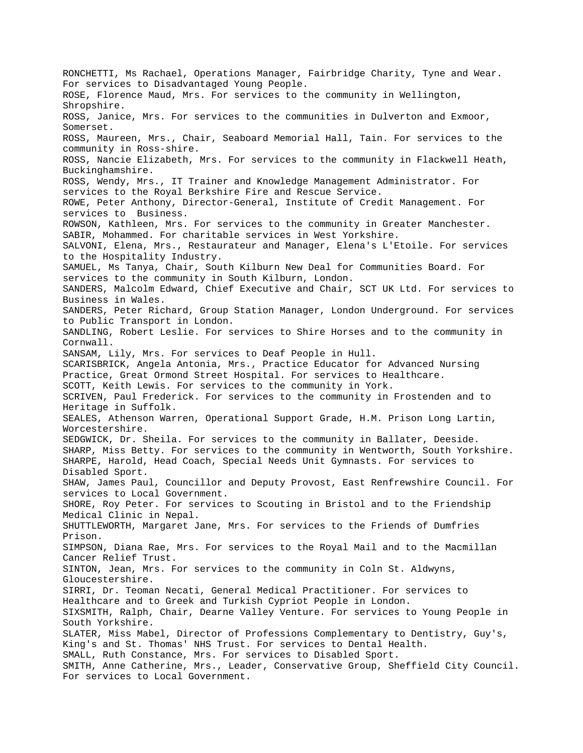RONCHETTI, Ms Rachael, Operations Manager, Fairbridge Charity, Tyne and Wear. For services to Disadvantaged Young People. ROSE, Florence Maud, Mrs. For services to the community in Wellington, Shropshire. ROSS, Janice, Mrs. For services to the communities in Dulverton and Exmoor, Somerset. ROSS, Maureen, Mrs., Chair, Seaboard Memorial Hall, Tain. For services to the community in Ross-shire. ROSS, Nancie Elizabeth, Mrs. For services to the community in Flackwell Heath, Buckinghamshire. ROSS, Wendy, Mrs., IT Trainer and Knowledge Management Administrator. For services to the Royal Berkshire Fire and Rescue Service. ROWE, Peter Anthony, Director-General, Institute of Credit Management. For services to Business. ROWSON, Kathleen, Mrs. For services to the community in Greater Manchester. SABIR, Mohammed. For charitable services in West Yorkshire. SALVONI, Elena, Mrs., Restaurateur and Manager, Elena's L'Etoile. For services to the Hospitality Industry. SAMUEL, Ms Tanya, Chair, South Kilburn New Deal for Communities Board. For services to the community in South Kilburn, London. SANDERS, Malcolm Edward, Chief Executive and Chair, SCT UK Ltd. For services to Business in Wales. SANDERS, Peter Richard, Group Station Manager, London Underground. For services to Public Transport in London. SANDLING, Robert Leslie. For services to Shire Horses and to the community in Cornwall. SANSAM, Lily, Mrs. For services to Deaf People in Hull. SCARISBRICK, Angela Antonia, Mrs., Practice Educator for Advanced Nursing Practice, Great Ormond Street Hospital. For services to Healthcare. SCOTT, Keith Lewis. For services to the community in York. SCRIVEN, Paul Frederick. For services to the community in Frostenden and to Heritage in Suffolk. SEALES, Athenson Warren, Operational Support Grade, H.M. Prison Long Lartin, Worcestershire. SEDGWICK, Dr. Sheila. For services to the community in Ballater, Deeside. SHARP, Miss Betty. For services to the community in Wentworth, South Yorkshire. SHARPE, Harold, Head Coach, Special Needs Unit Gymnasts. For services to Disabled Sport. SHAW, James Paul, Councillor and Deputy Provost, East Renfrewshire Council. For services to Local Government. SHORE, Roy Peter. For services to Scouting in Bristol and to the Friendship Medical Clinic in Nepal. SHUTTLEWORTH, Margaret Jane, Mrs. For services to the Friends of Dumfries Prison. SIMPSON, Diana Rae, Mrs. For services to the Royal Mail and to the Macmillan Cancer Relief Trust. SINTON, Jean, Mrs. For services to the community in Coln St. Aldwyns, Gloucestershire. SIRRI, Dr. Teoman Necati, General Medical Practitioner. For services to Healthcare and to Greek and Turkish Cypriot People in London. SIXSMITH, Ralph, Chair, Dearne Valley Venture. For services to Young People in South Yorkshire. SLATER, Miss Mabel, Director of Professions Complementary to Dentistry, Guy's, King's and St. Thomas' NHS Trust. For services to Dental Health. SMALL, Ruth Constance, Mrs. For services to Disabled Sport. SMITH, Anne Catherine, Mrs., Leader, Conservative Group, Sheffield City Council. For services to Local Government.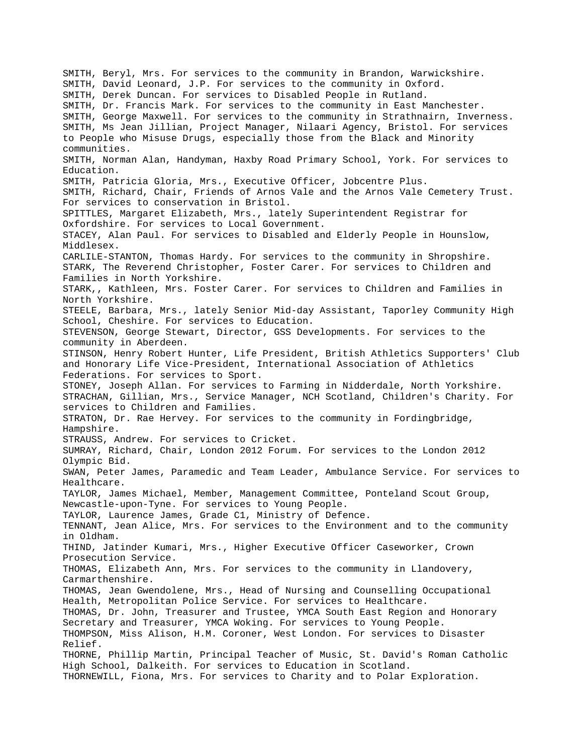SMITH, Beryl, Mrs. For services to the community in Brandon, Warwickshire. SMITH, David Leonard, J.P. For services to the community in Oxford. SMITH, Derek Duncan. For services to Disabled People in Rutland. SMITH, Dr. Francis Mark. For services to the community in East Manchester. SMITH, George Maxwell. For services to the community in Strathnairn, Inverness. SMITH, Ms Jean Jillian, Project Manager, Nilaari Agency, Bristol. For services to People who Misuse Drugs, especially those from the Black and Minority communities. SMITH, Norman Alan, Handyman, Haxby Road Primary School, York. For services to Education. SMITH, Patricia Gloria, Mrs., Executive Officer, Jobcentre Plus. SMITH, Richard, Chair, Friends of Arnos Vale and the Arnos Vale Cemetery Trust. For services to conservation in Bristol. SPITTLES, Margaret Elizabeth, Mrs., lately Superintendent Registrar for Oxfordshire. For services to Local Government. STACEY, Alan Paul. For services to Disabled and Elderly People in Hounslow, Middlesex. CARLILE-STANTON, Thomas Hardy. For services to the community in Shropshire. STARK, The Reverend Christopher, Foster Carer. For services to Children and Families in North Yorkshire. STARK,, Kathleen, Mrs. Foster Carer. For services to Children and Families in North Yorkshire. STEELE, Barbara, Mrs., lately Senior Mid-day Assistant, Taporley Community High School, Cheshire. For services to Education. STEVENSON, George Stewart, Director, GSS Developments. For services to the community in Aberdeen. STINSON, Henry Robert Hunter, Life President, British Athletics Supporters' Club and Honorary Life Vice-President, International Association of Athletics Federations. For services to Sport. STONEY, Joseph Allan. For services to Farming in Nidderdale, North Yorkshire. STRACHAN, Gillian, Mrs., Service Manager, NCH Scotland, Children's Charity. For services to Children and Families. STRATON, Dr. Rae Hervey. For services to the community in Fordingbridge, Hampshire. STRAUSS, Andrew. For services to Cricket. SUMRAY, Richard, Chair, London 2012 Forum. For services to the London 2012 Olympic Bid. SWAN, Peter James, Paramedic and Team Leader, Ambulance Service. For services to Healthcare. TAYLOR, James Michael, Member, Management Committee, Ponteland Scout Group, Newcastle-upon-Tyne. For services to Young People. TAYLOR, Laurence James, Grade C1, Ministry of Defence. TENNANT, Jean Alice, Mrs. For services to the Environment and to the community in Oldham. THIND, Jatinder Kumari, Mrs., Higher Executive Officer Caseworker, Crown Prosecution Service. THOMAS, Elizabeth Ann, Mrs. For services to the community in Llandovery, Carmarthenshire. THOMAS, Jean Gwendolene, Mrs., Head of Nursing and Counselling Occupational Health, Metropolitan Police Service. For services to Healthcare. THOMAS, Dr. John, Treasurer and Trustee, YMCA South East Region and Honorary Secretary and Treasurer, YMCA Woking. For services to Young People. THOMPSON, Miss Alison, H.M. Coroner, West London. For services to Disaster Relief. THORNE, Phillip Martin, Principal Teacher of Music, St. David's Roman Catholic High School, Dalkeith. For services to Education in Scotland. THORNEWILL, Fiona, Mrs. For services to Charity and to Polar Exploration.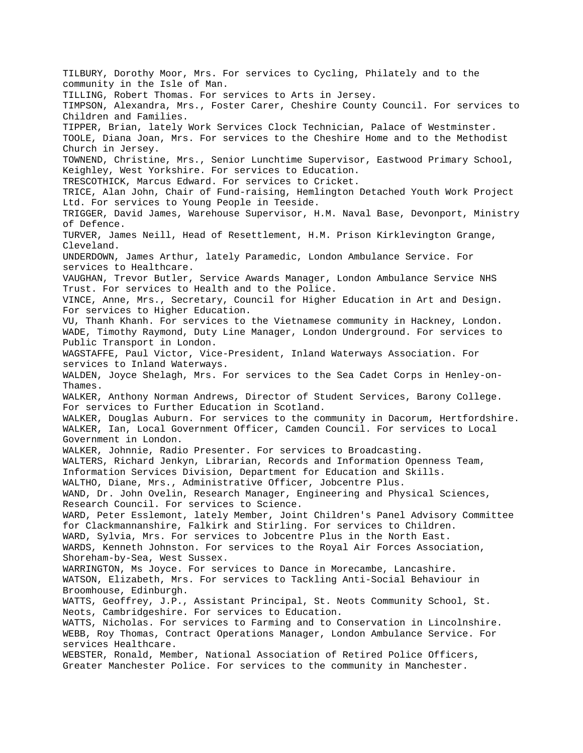TILBURY, Dorothy Moor, Mrs. For services to Cycling, Philately and to the community in the Isle of Man. TILLING, Robert Thomas. For services to Arts in Jersey. TIMPSON, Alexandra, Mrs., Foster Carer, Cheshire County Council. For services to Children and Families. TIPPER, Brian, lately Work Services Clock Technician, Palace of Westminster. TOOLE, Diana Joan, Mrs. For services to the Cheshire Home and to the Methodist Church in Jersey. TOWNEND, Christine, Mrs., Senior Lunchtime Supervisor, Eastwood Primary School, Keighley, West Yorkshire. For services to Education. TRESCOTHICK, Marcus Edward. For services to Cricket. TRICE, Alan John, Chair of Fund-raising, Hemlington Detached Youth Work Project Ltd. For services to Young People in Teeside. TRIGGER, David James, Warehouse Supervisor, H.M. Naval Base, Devonport, Ministry of Defence. TURVER, James Neill, Head of Resettlement, H.M. Prison Kirklevington Grange, Cleveland. UNDERDOWN, James Arthur, lately Paramedic, London Ambulance Service. For services to Healthcare. VAUGHAN, Trevor Butler, Service Awards Manager, London Ambulance Service NHS Trust. For services to Health and to the Police. VINCE, Anne, Mrs., Secretary, Council for Higher Education in Art and Design. For services to Higher Education. VU, Thanh Khanh. For services to the Vietnamese community in Hackney, London. WADE, Timothy Raymond, Duty Line Manager, London Underground. For services to Public Transport in London. WAGSTAFFE, Paul Victor, Vice-President, Inland Waterways Association. For services to Inland Waterways. WALDEN, Joyce Shelagh, Mrs. For services to the Sea Cadet Corps in Henley-on-Thames. WALKER, Anthony Norman Andrews, Director of Student Services, Barony College. For services to Further Education in Scotland. WALKER, Douglas Auburn. For services to the community in Dacorum, Hertfordshire. WALKER, Ian, Local Government Officer, Camden Council. For services to Local Government in London. WALKER, Johnnie, Radio Presenter. For services to Broadcasting. WALTERS, Richard Jenkyn, Librarian, Records and Information Openness Team, Information Services Division, Department for Education and Skills. WALTHO, Diane, Mrs., Administrative Officer, Jobcentre Plus. WAND, Dr. John Ovelin, Research Manager, Engineering and Physical Sciences, Research Council. For services to Science. WARD, Peter Esslemont, lately Member, Joint Children's Panel Advisory Committee for Clackmannanshire, Falkirk and Stirling. For services to Children. WARD, Sylvia, Mrs. For services to Jobcentre Plus in the North East. WARDS, Kenneth Johnston. For services to the Royal Air Forces Association, Shoreham-by-Sea, West Sussex. WARRINGTON, Ms Joyce. For services to Dance in Morecambe, Lancashire. WATSON, Elizabeth, Mrs. For services to Tackling Anti-Social Behaviour in Broomhouse, Edinburgh. WATTS, Geoffrey, J.P., Assistant Principal, St. Neots Community School, St. Neots, Cambridgeshire. For services to Education. WATTS, Nicholas. For services to Farming and to Conservation in Lincolnshire. WEBB, Roy Thomas, Contract Operations Manager, London Ambulance Service. For services Healthcare. WEBSTER, Ronald, Member, National Association of Retired Police Officers, Greater Manchester Police. For services to the community in Manchester.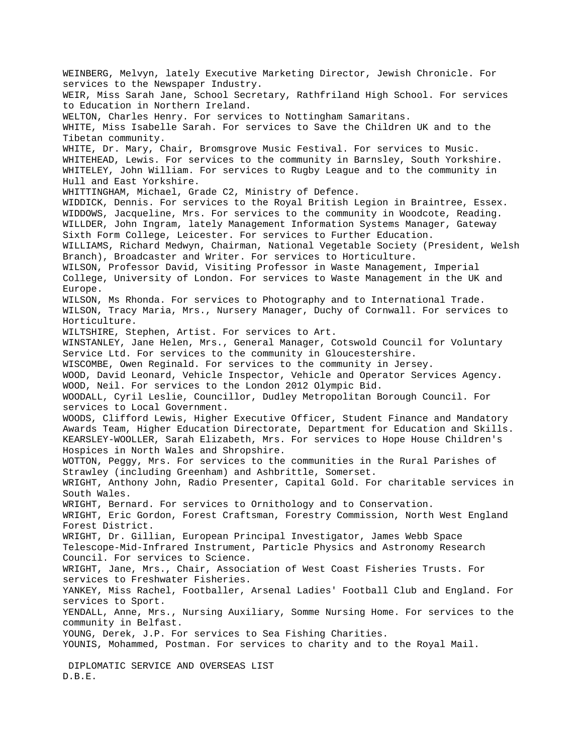WEINBERG, Melvyn, lately Executive Marketing Director, Jewish Chronicle. For services to the Newspaper Industry. WEIR, Miss Sarah Jane, School Secretary, Rathfriland High School. For services to Education in Northern Ireland. WELTON, Charles Henry. For services to Nottingham Samaritans. WHITE, Miss Isabelle Sarah. For services to Save the Children UK and to the Tibetan community. WHITE, Dr. Mary, Chair, Bromsgrove Music Festival. For services to Music. WHITEHEAD, Lewis. For services to the community in Barnsley, South Yorkshire. WHITELEY, John William. For services to Rugby League and to the community in Hull and East Yorkshire. WHITTINGHAM, Michael, Grade C2, Ministry of Defence. WIDDICK, Dennis. For services to the Royal British Legion in Braintree, Essex. WIDDOWS, Jacqueline, Mrs. For services to the community in Woodcote, Reading. WILLDER, John Ingram, lately Management Information Systems Manager, Gateway Sixth Form College, Leicester. For services to Further Education. WILLIAMS, Richard Medwyn, Chairman, National Vegetable Society (President, Welsh Branch), Broadcaster and Writer. For services to Horticulture. WILSON, Professor David, Visiting Professor in Waste Management, Imperial College, University of London. For services to Waste Management in the UK and Europe. WILSON, Ms Rhonda. For services to Photography and to International Trade. WILSON, Tracy Maria, Mrs., Nursery Manager, Duchy of Cornwall. For services to Horticulture. WILTSHIRE, Stephen, Artist. For services to Art. WINSTANLEY, Jane Helen, Mrs., General Manager, Cotswold Council for Voluntary Service Ltd. For services to the community in Gloucestershire. WISCOMBE, Owen Reginald. For services to the community in Jersey. WOOD, David Leonard, Vehicle Inspector, Vehicle and Operator Services Agency. WOOD, Neil. For services to the London 2012 Olympic Bid. WOODALL, Cyril Leslie, Councillor, Dudley Metropolitan Borough Council. For services to Local Government. WOODS, Clifford Lewis, Higher Executive Officer, Student Finance and Mandatory Awards Team, Higher Education Directorate, Department for Education and Skills. KEARSLEY-WOOLLER, Sarah Elizabeth, Mrs. For services to Hope House Children's Hospices in North Wales and Shropshire. WOTTON, Peggy, Mrs. For services to the communities in the Rural Parishes of Strawley (including Greenham) and Ashbrittle, Somerset. WRIGHT, Anthony John, Radio Presenter, Capital Gold. For charitable services in South Wales. WRIGHT, Bernard. For services to Ornithology and to Conservation. WRIGHT, Eric Gordon, Forest Craftsman, Forestry Commission, North West England Forest District. WRIGHT, Dr. Gillian, European Principal Investigator, James Webb Space Telescope-Mid-Infrared Instrument, Particle Physics and Astronomy Research Council. For services to Science. WRIGHT, Jane, Mrs., Chair, Association of West Coast Fisheries Trusts. For services to Freshwater Fisheries. YANKEY, Miss Rachel, Footballer, Arsenal Ladies' Football Club and England. For services to Sport. YENDALL, Anne, Mrs., Nursing Auxiliary, Somme Nursing Home. For services to the community in Belfast. YOUNG, Derek, J.P. For services to Sea Fishing Charities. YOUNIS, Mohammed, Postman. For services to charity and to the Royal Mail. DIPLOMATIC SERVICE AND OVERSEAS LIST D.B.E.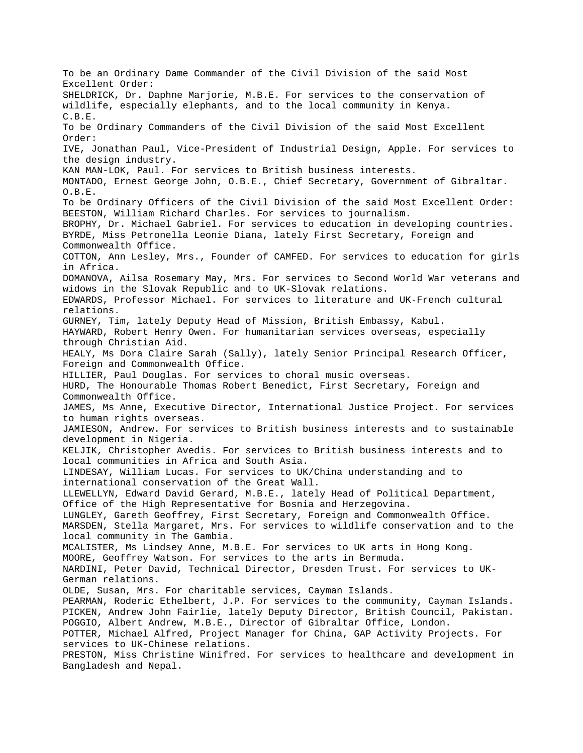To be an Ordinary Dame Commander of the Civil Division of the said Most Excellent Order: SHELDRICK, Dr. Daphne Marjorie, M.B.E. For services to the conservation of wildlife, especially elephants, and to the local community in Kenya. C.B.E. To be Ordinary Commanders of the Civil Division of the said Most Excellent Order: IVE, Jonathan Paul, Vice-President of Industrial Design, Apple. For services to the design industry. KAN MAN-LOK, Paul. For services to British business interests. MONTADO, Ernest George John, O.B.E., Chief Secretary, Government of Gibraltar. O.B.E. To be Ordinary Officers of the Civil Division of the said Most Excellent Order: BEESTON, William Richard Charles. For services to journalism. BROPHY, Dr. Michael Gabriel. For services to education in developing countries. BYRDE, Miss Petronella Leonie Diana, lately First Secretary, Foreign and Commonwealth Office. COTTON, Ann Lesley, Mrs., Founder of CAMFED. For services to education for girls in Africa. DOMANOVA, Ailsa Rosemary May, Mrs. For services to Second World War veterans and widows in the Slovak Republic and to UK-Slovak relations. EDWARDS, Professor Michael. For services to literature and UK-French cultural relations. GURNEY, Tim, lately Deputy Head of Mission, British Embassy, Kabul. HAYWARD, Robert Henry Owen. For humanitarian services overseas, especially through Christian Aid. HEALY, Ms Dora Claire Sarah (Sally), lately Senior Principal Research Officer, Foreign and Commonwealth Office. HILLIER, Paul Douglas. For services to choral music overseas. HURD, The Honourable Thomas Robert Benedict, First Secretary, Foreign and Commonwealth Office. JAMES, Ms Anne, Executive Director, International Justice Project. For services to human rights overseas. JAMIESON, Andrew. For services to British business interests and to sustainable development in Nigeria. KELJIK, Christopher Avedis. For services to British business interests and to local communities in Africa and South Asia. LINDESAY, William Lucas. For services to UK/China understanding and to international conservation of the Great Wall. LLEWELLYN, Edward David Gerard, M.B.E., lately Head of Political Department, Office of the High Representative for Bosnia and Herzegovina. LUNGLEY, Gareth Geoffrey, First Secretary, Foreign and Commonwealth Office. MARSDEN, Stella Margaret, Mrs. For services to wildlife conservation and to the local community in The Gambia. MCALISTER, Ms Lindsey Anne, M.B.E. For services to UK arts in Hong Kong. MOORE, Geoffrey Watson. For services to the arts in Bermuda. NARDINI, Peter David, Technical Director, Dresden Trust. For services to UK-German relations. OLDE, Susan, Mrs. For charitable services, Cayman Islands. PEARMAN, Roderic Ethelbert, J.P. For services to the community, Cayman Islands. PICKEN, Andrew John Fairlie, lately Deputy Director, British Council, Pakistan. POGGIO, Albert Andrew, M.B.E., Director of Gibraltar Office, London. POTTER, Michael Alfred, Project Manager for China, GAP Activity Projects. For services to UK-Chinese relations. PRESTON, Miss Christine Winifred. For services to healthcare and development in Bangladesh and Nepal.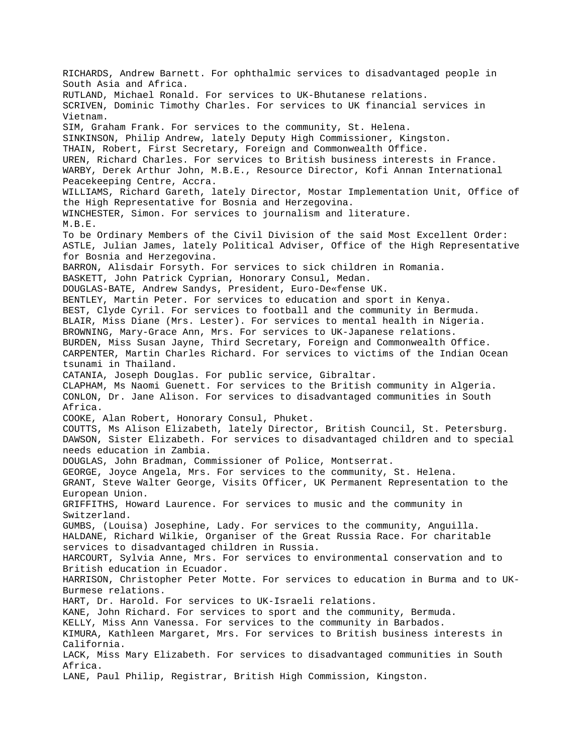RICHARDS, Andrew Barnett. For ophthalmic services to disadvantaged people in South Asia and Africa. RUTLAND, Michael Ronald. For services to UK-Bhutanese relations. SCRIVEN, Dominic Timothy Charles. For services to UK financial services in Vietnam. SIM, Graham Frank. For services to the community, St. Helena. SINKINSON, Philip Andrew, lately Deputy High Commissioner, Kingston. THAIN, Robert, First Secretary, Foreign and Commonwealth Office. UREN, Richard Charles. For services to British business interests in France. WARBY, Derek Arthur John, M.B.E., Resource Director, Kofi Annan International Peacekeeping Centre, Accra. WILLIAMS, Richard Gareth, lately Director, Mostar Implementation Unit, Office of the High Representative for Bosnia and Herzegovina. WINCHESTER, Simon. For services to journalism and literature. M.B.E. To be Ordinary Members of the Civil Division of the said Most Excellent Order: ASTLE, Julian James, lately Political Adviser, Office of the High Representative for Bosnia and Herzegovina. BARRON, Alisdair Forsyth. For services to sick children in Romania. BASKETT, John Patrick Cyprian, Honorary Consul, Medan. DOUGLAS-BATE, Andrew Sandys, President, Euro-De«fense UK. BENTLEY, Martin Peter. For services to education and sport in Kenya. BEST, Clyde Cyril. For services to football and the community in Bermuda. BLAIR, Miss Diane (Mrs. Lester). For services to mental health in Nigeria. BROWNING, Mary-Grace Ann, Mrs. For services to UK-Japanese relations. BURDEN, Miss Susan Jayne, Third Secretary, Foreign and Commonwealth Office. CARPENTER, Martin Charles Richard. For services to victims of the Indian Ocean tsunami in Thailand. CATANIA, Joseph Douglas. For public service, Gibraltar. CLAPHAM, Ms Naomi Guenett. For services to the British community in Algeria. CONLON, Dr. Jane Alison. For services to disadvantaged communities in South Africa. COOKE, Alan Robert, Honorary Consul, Phuket. COUTTS, Ms Alison Elizabeth, lately Director, British Council, St. Petersburg. DAWSON, Sister Elizabeth. For services to disadvantaged children and to special needs education in Zambia. DOUGLAS, John Bradman, Commissioner of Police, Montserrat. GEORGE, Joyce Angela, Mrs. For services to the community, St. Helena. GRANT, Steve Walter George, Visits Officer, UK Permanent Representation to the European Union. GRIFFITHS, Howard Laurence. For services to music and the community in Switzerland. GUMBS, (Louisa) Josephine, Lady. For services to the community, Anguilla. HALDANE, Richard Wilkie, Organiser of the Great Russia Race. For charitable services to disadvantaged children in Russia. HARCOURT, Sylvia Anne, Mrs. For services to environmental conservation and to British education in Ecuador. HARRISON, Christopher Peter Motte. For services to education in Burma and to UK-Burmese relations. HART, Dr. Harold. For services to UK-Israeli relations. KANE, John Richard. For services to sport and the community, Bermuda. KELLY, Miss Ann Vanessa. For services to the community in Barbados. KIMURA, Kathleen Margaret, Mrs. For services to British business interests in California. LACK, Miss Mary Elizabeth. For services to disadvantaged communities in South Africa. LANE, Paul Philip, Registrar, British High Commission, Kingston.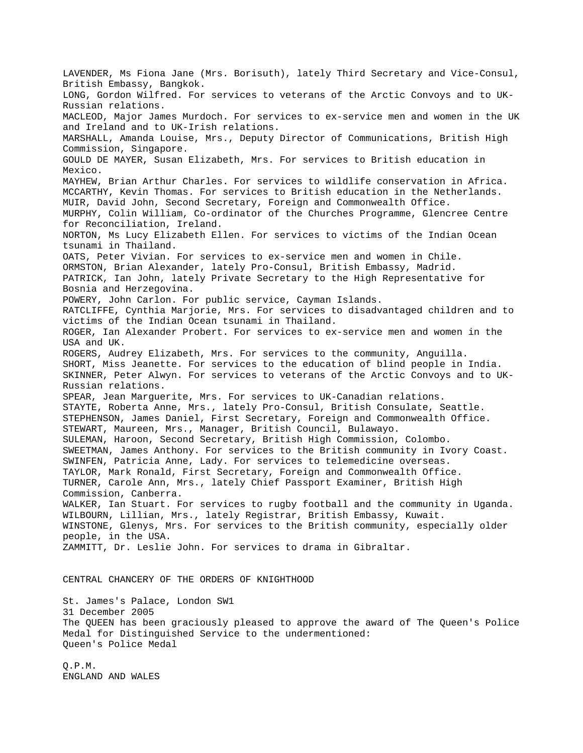LAVENDER, Ms Fiona Jane (Mrs. Borisuth), lately Third Secretary and Vice-Consul, British Embassy, Bangkok. LONG, Gordon Wilfred. For services to veterans of the Arctic Convoys and to UK-Russian relations. MACLEOD, Major James Murdoch. For services to ex-service men and women in the UK and Ireland and to UK-Irish relations. MARSHALL, Amanda Louise, Mrs., Deputy Director of Communications, British High Commission, Singapore. GOULD DE MAYER, Susan Elizabeth, Mrs. For services to British education in Mexico. MAYHEW, Brian Arthur Charles. For services to wildlife conservation in Africa. MCCARTHY, Kevin Thomas. For services to British education in the Netherlands. MUIR, David John, Second Secretary, Foreign and Commonwealth Office. MURPHY, Colin William, Co-ordinator of the Churches Programme, Glencree Centre for Reconciliation, Ireland. NORTON, Ms Lucy Elizabeth Ellen. For services to victims of the Indian Ocean tsunami in Thailand. OATS, Peter Vivian. For services to ex-service men and women in Chile. ORMSTON, Brian Alexander, lately Pro-Consul, British Embassy, Madrid. PATRICK, Ian John, lately Private Secretary to the High Representative for Bosnia and Herzegovina. POWERY, John Carlon. For public service, Cayman Islands. RATCLIFFE, Cynthia Marjorie, Mrs. For services to disadvantaged children and to victims of the Indian Ocean tsunami in Thailand. ROGER, Ian Alexander Probert. For services to ex-service men and women in the USA and UK. ROGERS, Audrey Elizabeth, Mrs. For services to the community, Anguilla. SHORT, Miss Jeanette. For services to the education of blind people in India. SKINNER, Peter Alwyn. For services to veterans of the Arctic Convoys and to UK-Russian relations. SPEAR, Jean Marguerite, Mrs. For services to UK-Canadian relations. STAYTE, Roberta Anne, Mrs., lately Pro-Consul, British Consulate, Seattle. STEPHENSON, James Daniel, First Secretary, Foreign and Commonwealth Office. STEWART, Maureen, Mrs., Manager, British Council, Bulawayo. SULEMAN, Haroon, Second Secretary, British High Commission, Colombo. SWEETMAN, James Anthony. For services to the British community in Ivory Coast. SWINFEN, Patricia Anne, Lady. For services to telemedicine overseas. TAYLOR, Mark Ronald, First Secretary, Foreign and Commonwealth Office. TURNER, Carole Ann, Mrs., lately Chief Passport Examiner, British High Commission, Canberra. WALKER, Ian Stuart. For services to rugby football and the community in Uganda. WILBOURN, Lillian, Mrs., lately Registrar, British Embassy, Kuwait. WINSTONE, Glenys, Mrs. For services to the British community, especially older people, in the USA. ZAMMITT, Dr. Leslie John. For services to drama in Gibraltar. CENTRAL CHANCERY OF THE ORDERS OF KNIGHTHOOD

St. James's Palace, London SW1 31 December 2005 The QUEEN has been graciously pleased to approve the award of The Queen's Police Medal for Distinguished Service to the undermentioned: Queen's Police Medal

Q.P.M. ENGLAND AND WALES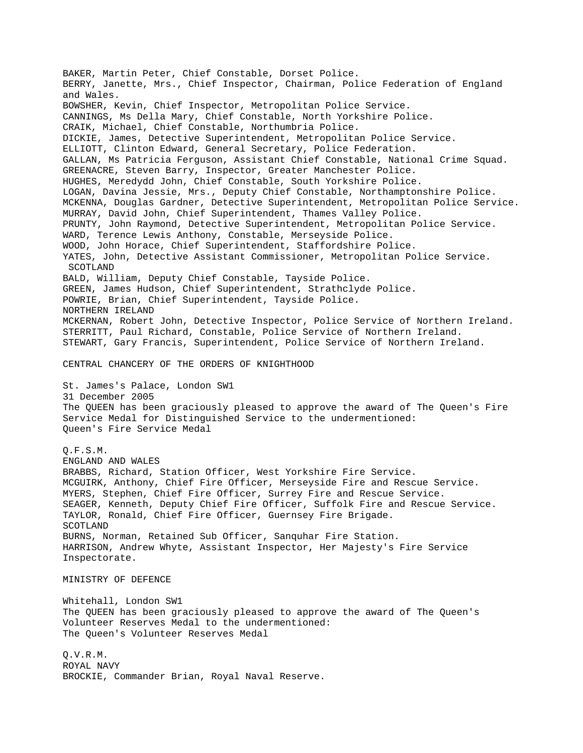BAKER, Martin Peter, Chief Constable, Dorset Police. BERRY, Janette, Mrs., Chief Inspector, Chairman, Police Federation of England and Wales. BOWSHER, Kevin, Chief Inspector, Metropolitan Police Service. CANNINGS, Ms Della Mary, Chief Constable, North Yorkshire Police. CRAIK, Michael, Chief Constable, Northumbria Police. DICKIE, James, Detective Superintendent, Metropolitan Police Service. ELLIOTT, Clinton Edward, General Secretary, Police Federation. GALLAN, Ms Patricia Ferguson, Assistant Chief Constable, National Crime Squad. GREENACRE, Steven Barry, Inspector, Greater Manchester Police. HUGHES, Meredydd John, Chief Constable, South Yorkshire Police. LOGAN, Davina Jessie, Mrs., Deputy Chief Constable, Northamptonshire Police. MCKENNA, Douglas Gardner, Detective Superintendent, Metropolitan Police Service. MURRAY, David John, Chief Superintendent, Thames Valley Police. PRUNTY, John Raymond, Detective Superintendent, Metropolitan Police Service. WARD, Terence Lewis Anthony, Constable, Merseyside Police. WOOD, John Horace, Chief Superintendent, Staffordshire Police. YATES, John, Detective Assistant Commissioner, Metropolitan Police Service. SCOTLAND BALD, William, Deputy Chief Constable, Tayside Police. GREEN, James Hudson, Chief Superintendent, Strathclyde Police. POWRIE, Brian, Chief Superintendent, Tayside Police. NORTHERN IRELAND MCKERNAN, Robert John, Detective Inspector, Police Service of Northern Ireland. STERRITT, Paul Richard, Constable, Police Service of Northern Ireland. STEWART, Gary Francis, Superintendent, Police Service of Northern Ireland. CENTRAL CHANCERY OF THE ORDERS OF KNIGHTHOOD St. James's Palace, London SW1 31 December 2005 The QUEEN has been graciously pleased to approve the award of The Queen's Fire Service Medal for Distinguished Service to the undermentioned: Queen's Fire Service Medal Q.F.S.M. ENGLAND AND WALES BRABBS, Richard, Station Officer, West Yorkshire Fire Service. MCGUIRK, Anthony, Chief Fire Officer, Merseyside Fire and Rescue Service. MYERS, Stephen, Chief Fire Officer, Surrey Fire and Rescue Service. SEAGER, Kenneth, Deputy Chief Fire Officer, Suffolk Fire and Rescue Service. TAYLOR, Ronald, Chief Fire Officer, Guernsey Fire Brigade. SCOTLAND BURNS, Norman, Retained Sub Officer, Sanquhar Fire Station. HARRISON, Andrew Whyte, Assistant Inspector, Her Majesty's Fire Service Inspectorate. MINISTRY OF DEFENCE Whitehall, London SW1 The QUEEN has been graciously pleased to approve the award of The Queen's Volunteer Reserves Medal to the undermentioned: The Queen's Volunteer Reserves Medal Q.V.R.M. ROYAL NAVY BROCKIE, Commander Brian, Royal Naval Reserve.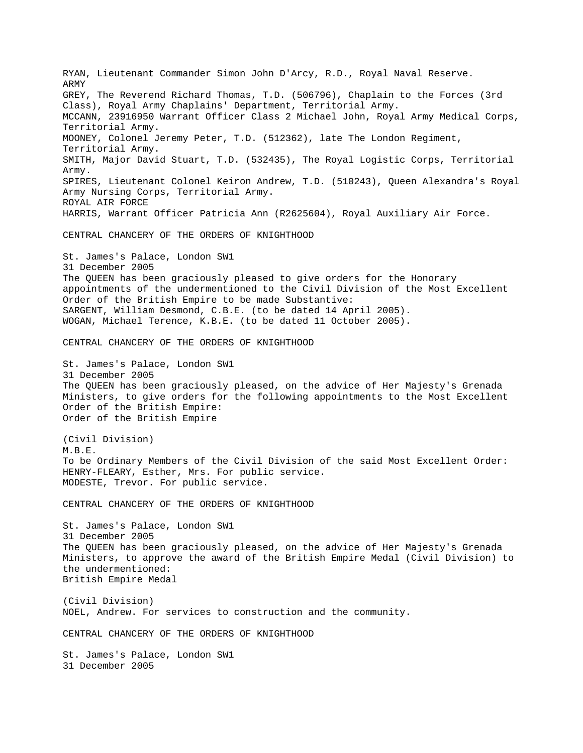RYAN, Lieutenant Commander Simon John D'Arcy, R.D., Royal Naval Reserve. ARMY GREY, The Reverend Richard Thomas, T.D. (506796), Chaplain to the Forces (3rd Class), Royal Army Chaplains' Department, Territorial Army. MCCANN, 23916950 Warrant Officer Class 2 Michael John, Royal Army Medical Corps, Territorial Army. MOONEY, Colonel Jeremy Peter, T.D. (512362), late The London Regiment, Territorial Army. SMITH, Major David Stuart, T.D. (532435), The Royal Logistic Corps, Territorial Army. SPIRES, Lieutenant Colonel Keiron Andrew, T.D. (510243), Queen Alexandra's Royal Army Nursing Corps, Territorial Army. ROYAL AIR FORCE HARRIS, Warrant Officer Patricia Ann (R2625604), Royal Auxiliary Air Force. CENTRAL CHANCERY OF THE ORDERS OF KNIGHTHOOD St. James's Palace, London SW1 31 December 2005 The QUEEN has been graciously pleased to give orders for the Honorary appointments of the undermentioned to the Civil Division of the Most Excellent Order of the British Empire to be made Substantive: SARGENT, William Desmond, C.B.E. (to be dated 14 April 2005). WOGAN, Michael Terence, K.B.E. (to be dated 11 October 2005). CENTRAL CHANCERY OF THE ORDERS OF KNIGHTHOOD St. James's Palace, London SW1 31 December 2005 The QUEEN has been graciously pleased, on the advice of Her Majesty's Grenada Ministers, to give orders for the following appointments to the Most Excellent Order of the British Empire: Order of the British Empire (Civil Division) M.B.E. To be Ordinary Members of the Civil Division of the said Most Excellent Order: HENRY-FLEARY, Esther, Mrs. For public service. MODESTE, Trevor. For public service. CENTRAL CHANCERY OF THE ORDERS OF KNIGHTHOOD St. James's Palace, London SW1 31 December 2005 The QUEEN has been graciously pleased, on the advice of Her Majesty's Grenada Ministers, to approve the award of the British Empire Medal (Civil Division) to the undermentioned: British Empire Medal (Civil Division) NOEL, Andrew. For services to construction and the community. CENTRAL CHANCERY OF THE ORDERS OF KNIGHTHOOD St. James's Palace, London SW1 31 December 2005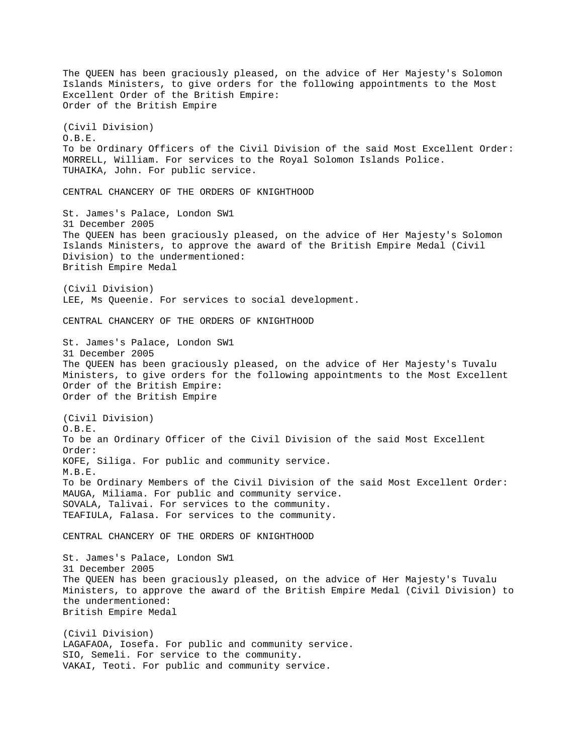The QUEEN has been graciously pleased, on the advice of Her Majesty's Solomon Islands Ministers, to give orders for the following appointments to the Most Excellent Order of the British Empire: Order of the British Empire (Civil Division) O.B.E. To be Ordinary Officers of the Civil Division of the said Most Excellent Order: MORRELL, William. For services to the Royal Solomon Islands Police. TUHAIKA, John. For public service. CENTRAL CHANCERY OF THE ORDERS OF KNIGHTHOOD St. James's Palace, London SW1 31 December 2005 The QUEEN has been graciously pleased, on the advice of Her Majesty's Solomon Islands Ministers, to approve the award of the British Empire Medal (Civil Division) to the undermentioned: British Empire Medal (Civil Division) LEE, Ms Queenie. For services to social development. CENTRAL CHANCERY OF THE ORDERS OF KNIGHTHOOD St. James's Palace, London SW1 31 December 2005 The QUEEN has been graciously pleased, on the advice of Her Majesty's Tuvalu Ministers, to give orders for the following appointments to the Most Excellent Order of the British Empire: Order of the British Empire (Civil Division)  $O.B.E.$ To be an Ordinary Officer of the Civil Division of the said Most Excellent Order: KOFE, Siliga. For public and community service. M.B.E. To be Ordinary Members of the Civil Division of the said Most Excellent Order: MAUGA, Miliama. For public and community service. SOVALA, Talivai. For services to the community. TEAFIULA, Falasa. For services to the community. CENTRAL CHANCERY OF THE ORDERS OF KNIGHTHOOD St. James's Palace, London SW1 31 December 2005 The QUEEN has been graciously pleased, on the advice of Her Majesty's Tuvalu Ministers, to approve the award of the British Empire Medal (Civil Division) to the undermentioned: British Empire Medal (Civil Division) LAGAFAOA, Iosefa. For public and community service. SIO, Semeli. For service to the community. VAKAI, Teoti. For public and community service.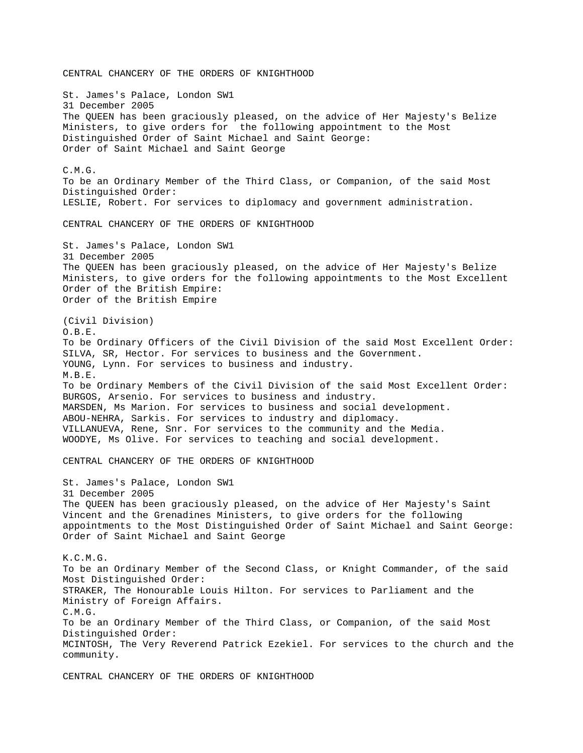CENTRAL CHANCERY OF THE ORDERS OF KNIGHTHOOD St. James's Palace, London SW1 31 December 2005 The QUEEN has been graciously pleased, on the advice of Her Majesty's Belize Ministers, to give orders for the following appointment to the Most Distinguished Order of Saint Michael and Saint George: Order of Saint Michael and Saint George C.M.G. To be an Ordinary Member of the Third Class, or Companion, of the said Most Distinguished Order: LESLIE, Robert. For services to diplomacy and government administration. CENTRAL CHANCERY OF THE ORDERS OF KNIGHTHOOD St. James's Palace, London SW1 31 December 2005 The QUEEN has been graciously pleased, on the advice of Her Majesty's Belize Ministers, to give orders for the following appointments to the Most Excellent Order of the British Empire: Order of the British Empire (Civil Division) O.B.E. To be Ordinary Officers of the Civil Division of the said Most Excellent Order: SILVA, SR, Hector. For services to business and the Government. YOUNG, Lynn. For services to business and industry. M.B.E. To be Ordinary Members of the Civil Division of the said Most Excellent Order: BURGOS, Arsenio. For services to business and industry. MARSDEN, Ms Marion. For services to business and social development. ABOU-NEHRA, Sarkis. For services to industry and diplomacy. VILLANUEVA, Rene, Snr. For services to the community and the Media. WOODYE, Ms Olive. For services to teaching and social development. CENTRAL CHANCERY OF THE ORDERS OF KNIGHTHOOD St. James's Palace, London SW1 31 December 2005 The QUEEN has been graciously pleased, on the advice of Her Majesty's Saint Vincent and the Grenadines Ministers, to give orders for the following appointments to the Most Distinguished Order of Saint Michael and Saint George: Order of Saint Michael and Saint George K.C.M.G. To be an Ordinary Member of the Second Class, or Knight Commander, of the said Most Distinguished Order: STRAKER, The Honourable Louis Hilton. For services to Parliament and the Ministry of Foreign Affairs. C.M.G. To be an Ordinary Member of the Third Class, or Companion, of the said Most Distinguished Order: MCINTOSH, The Very Reverend Patrick Ezekiel. For services to the church and the community. CENTRAL CHANCERY OF THE ORDERS OF KNIGHTHOOD